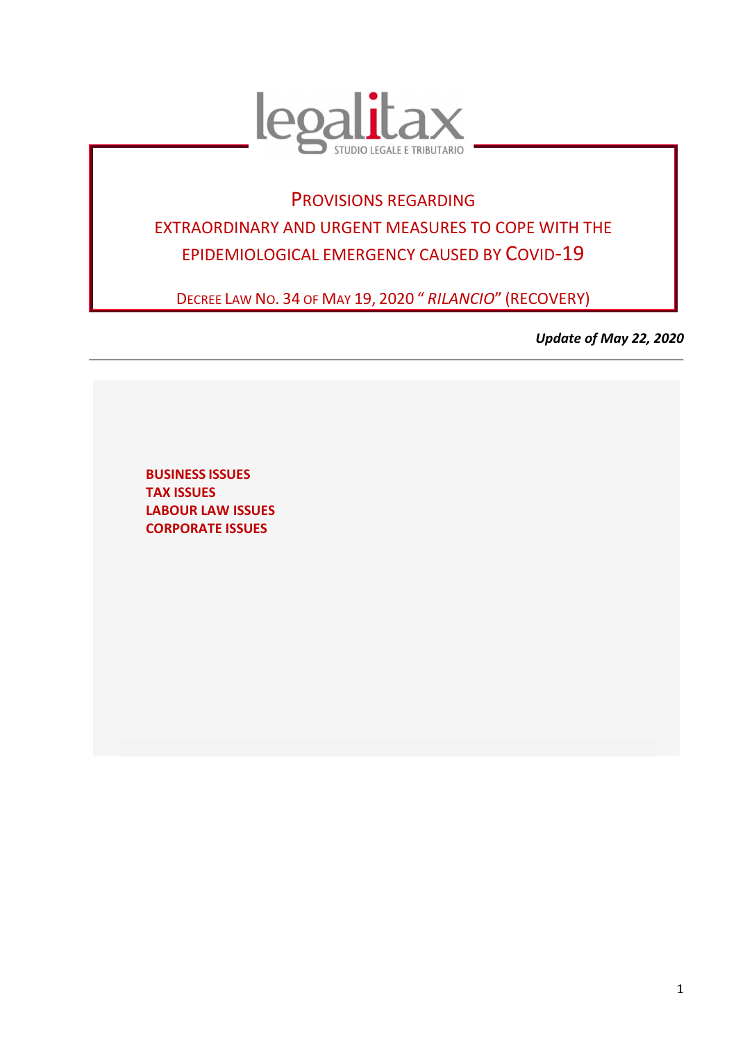

# PROVISIONS REGARDING EXTRAORDINARY AND URGENT MEASURES TO COPE WITH THE EPIDEMIOLOGICAL EMERGENCY CAUSED BY COVID-19

DECREE LAW NO. 34 OF MAY 19, 2020 " *RILANCIO*" (RECOVERY)

*Update of May 22, 2020* 

**BUSINESS ISSUES TAX ISSUES LABOUR LAW ISSUES CORPORATE ISSUES**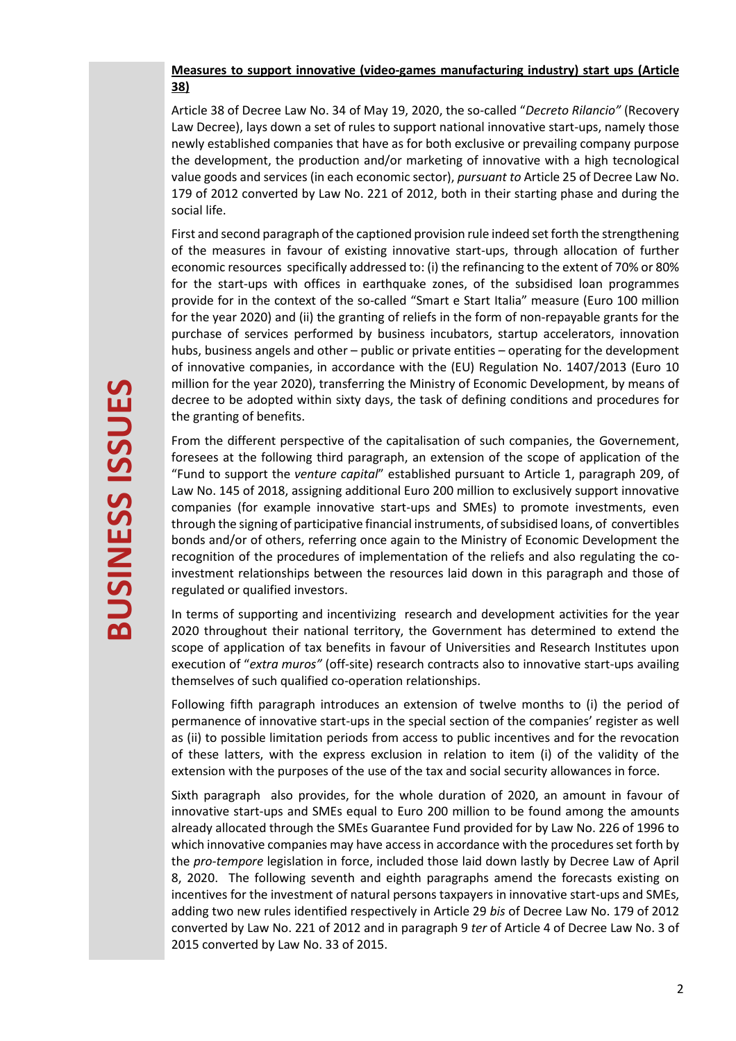## **Measures to support innovative (video-games manufacturing industry) start ups (Article 38)**

Article 38 of Decree Law No. 34 of May 19, 2020, the so-called "*Decreto Rilancio"* (Recovery Law Decree), lays down a set of rules to support national innovative start-ups, namely those newly established companies that have as for both exclusive or prevailing company purpose the development, the production and/or marketing of innovative with a high tecnological value goods and services (in each economic sector), *pursuant to* Article 25 of Decree Law No. 179 of 2012 converted by Law No. 221 of 2012, both in their starting phase and during the social life.

First and second paragraph of the captioned provision rule indeed set forth the strengthening of the measures in favour of existing innovative start-ups, through allocation of further economic resources specifically addressed to: (i) the refinancing to the extent of 70% or 80% for the start-ups with offices in earthquake zones, of the subsidised loan programmes provide for in the context of the so-called "Smart e Start Italia" measure (Euro 100 million for the year 2020) and (ii) the granting of reliefs in the form of non-repayable grants for the purchase of services performed by business incubators, startup accelerators, innovation hubs, business angels and other – public or private entities – operating for the development of innovative companies, in accordance with the (EU) Regulation No. 1407/2013 (Euro 10 million for the year 2020), transferring the Ministry of Economic Development, by means of decree to be adopted within sixty days, the task of defining conditions and procedures for the granting of benefits.

From the different perspective of the capitalisation of such companies, the Governement, foresees at the following third paragraph, an extension of the scope of application of the "Fund to support the *venture capital*" established pursuant to Article 1, paragraph 209, of Law No. 145 of 2018, assigning additional Euro 200 million to exclusively support innovative companies (for example innovative start-ups and SMEs) to promote investments, even through the signing of participative financial instruments, of subsidised loans, of convertibles bonds and/or of others, referring once again to the Ministry of Economic Development the recognition of the procedures of implementation of the reliefs and also regulating the coinvestment relationships between the resources laid down in this paragraph and those of regulated or qualified investors.

In terms of supporting and incentivizing research and development activities for the year 2020 throughout their national territory, the Government has determined to extend the scope of application of tax benefits in favour of Universities and Research Institutes upon execution of "*extra muros"* (off-site) research contracts also to innovative start-ups availing themselves of such qualified co-operation relationships.

Following fifth paragraph introduces an extension of twelve months to (i) the period of permanence of innovative start-ups in the special section of the companies' register as well as (ii) to possible limitation periods from access to public incentives and for the revocation of these latters, with the express exclusion in relation to item (i) of the validity of the extension with the purposes of the use of the tax and social security allowances in force.

Sixth paragraph also provides, for the whole duration of 2020, an amount in favour of innovative start-ups and SMEs equal to Euro 200 million to be found among the amounts already allocated through the SMEs Guarantee Fund provided for by Law No. 226 of 1996 to which innovative companies may have access in accordance with the procedures set forth by the *pro-tempore* legislation in force, included those laid down lastly by Decree Law of April 8, 2020. The following seventh and eighth paragraphs amend the forecasts existing on incentives for the investment of natural persons taxpayers in innovative start-ups and SMEs, adding two new rules identified respectively in Article 29 *bis* of Decree Law No. 179 of 2012 converted by Law No. 221 of 2012 and in paragraph 9 *ter* of Article 4 of Decree Law No. 3 of 2015 converted by Law No. 33 of 2015.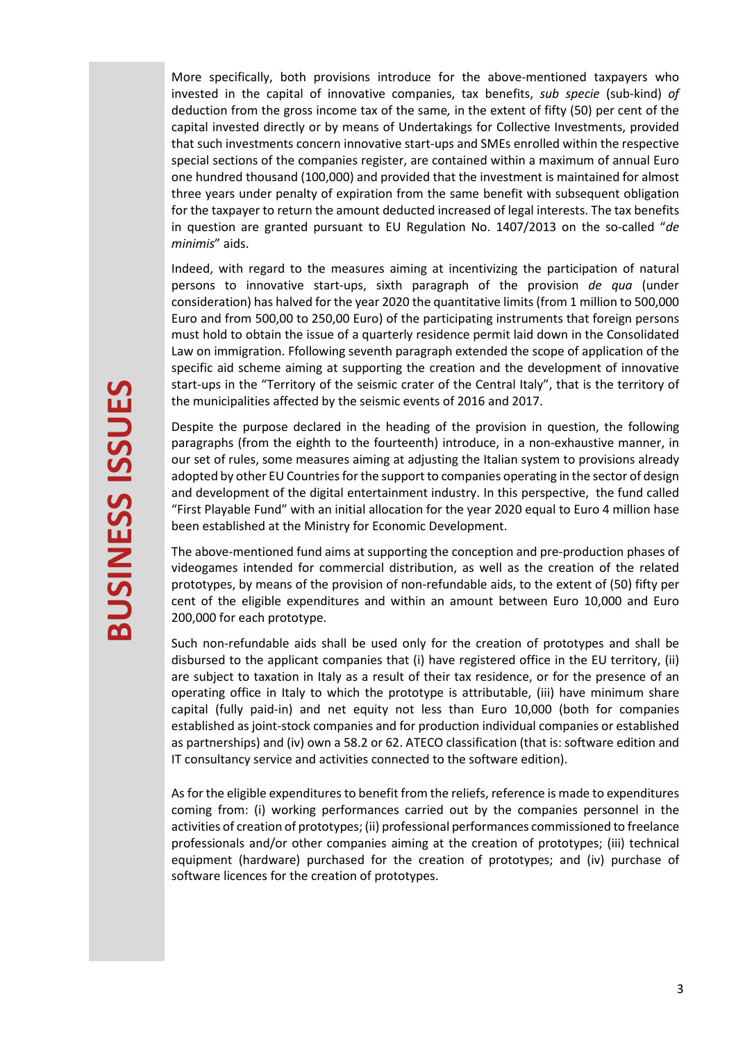More specifically, both provisions introduce for the above-mentioned taxpayers who invested in the capital of innovative companies, tax benefits, *sub specie* (sub-kind) *of*  deduction from the gross income tax of the same*,* in the extent of fifty (50) per cent of the capital invested directly or by means of Undertakings for Collective Investments, provided that such investments concern innovative start-ups and SMEs enrolled within the respective special sections of the companies register, are contained within a maximum of annual Euro one hundred thousand (100,000) and provided that the investment is maintained for almost three years under penalty of expiration from the same benefit with subsequent obligation for the taxpayer to return the amount deducted increased of legal interests. The tax benefits in question are granted pursuant to EU Regulation No. 1407/2013 on the so-called "*de minimis*" aids.

Indeed, with regard to the measures aiming at incentivizing the participation of natural persons to innovative start-ups, sixth paragraph of the provision *de qua* (under consideration) has halved for the year 2020 the quantitative limits (from 1 million to 500,000 Euro and from 500,00 to 250,00 Euro) of the participating instruments that foreign persons must hold to obtain the issue of a quarterly residence permit laid down in the Consolidated Law on immigration. Ffollowing seventh paragraph extended the scope of application of the specific aid scheme aiming at supporting the creation and the development of innovative start-ups in the "Territory of the seismic crater of the Central Italy", that is the territory of the municipalities affected by the seismic events of 2016 and 2017.

Despite the purpose declared in the heading of the provision in question, the following paragraphs (from the eighth to the fourteenth) introduce, in a non-exhaustive manner, in our set of rules, some measures aiming at adjusting the Italian system to provisions already adopted by other EU Countries for the support to companies operating in the sector of design and development of the digital entertainment industry. In this perspective, the fund called "First Playable Fund" with an initial allocation for the year 2020 equal to Euro 4 million hase been established at the Ministry for Economic Development.

The above-mentioned fund aims at supporting the conception and pre-production phases of videogames intended for commercial distribution, as well as the creation of the related prototypes, by means of the provision of non-refundable aids, to the extent of (50) fifty per cent of the eligible expenditures and within an amount between Euro 10,000 and Euro 200,000 for each prototype.

Such non-refundable aids shall be used only for the creation of prototypes and shall be disbursed to the applicant companies that (i) have registered office in the EU territory, (ii) are subject to taxation in Italy as a result of their tax residence, or for the presence of an operating office in Italy to which the prototype is attributable, (iii) have minimum share capital (fully paid-in) and net equity not less than Euro 10,000 (both for companies established as joint-stock companies and for production individual companies or established as partnerships) and (iv) own a 58.2 or 62. ATECO classification (that is: software edition and IT consultancy service and activities connected to the software edition).

As for the eligible expenditures to benefit from the reliefs, reference is made to expenditures coming from: (i) working performances carried out by the companies personnel in the activities of creation of prototypes; (ii) professional performances commissioned to freelance professionals and/or other companies aiming at the creation of prototypes; (iii) technical equipment (hardware) purchased for the creation of prototypes; and (iv) purchase of software licences for the creation of prototypes.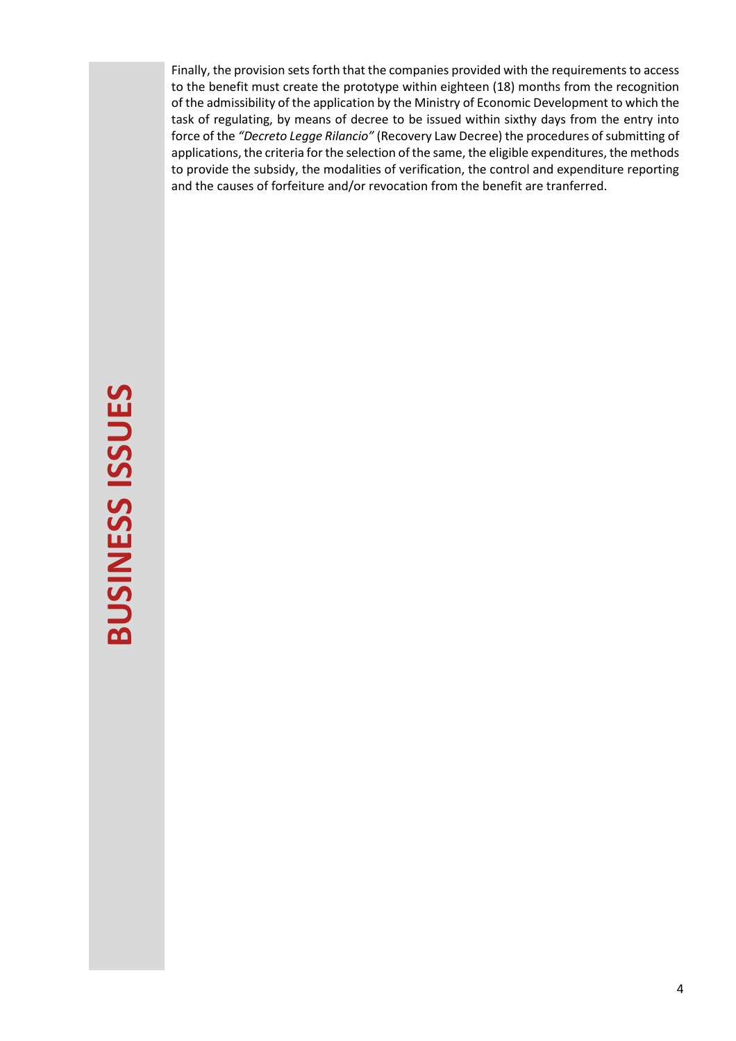Finally, the provision sets forth that the companies provided with the requirements to access to the benefit must create the prototype within eighteen (18) months from the recognition of the admissibility of the application by the Ministry of Economic Development to which the task of regulating, by means of decree to be issued within sixthy days from the entry into force of the *"Decreto Legge Rilancio"* (Recovery Law Decree) the procedures of submitting of applications, the criteria for the selection of the same, the eligible expenditures, the methods to provide the subsidy, the modalities of verification, the control and expenditure reporting and the causes of forfeiture and/or revocation from the benefit are tranferred.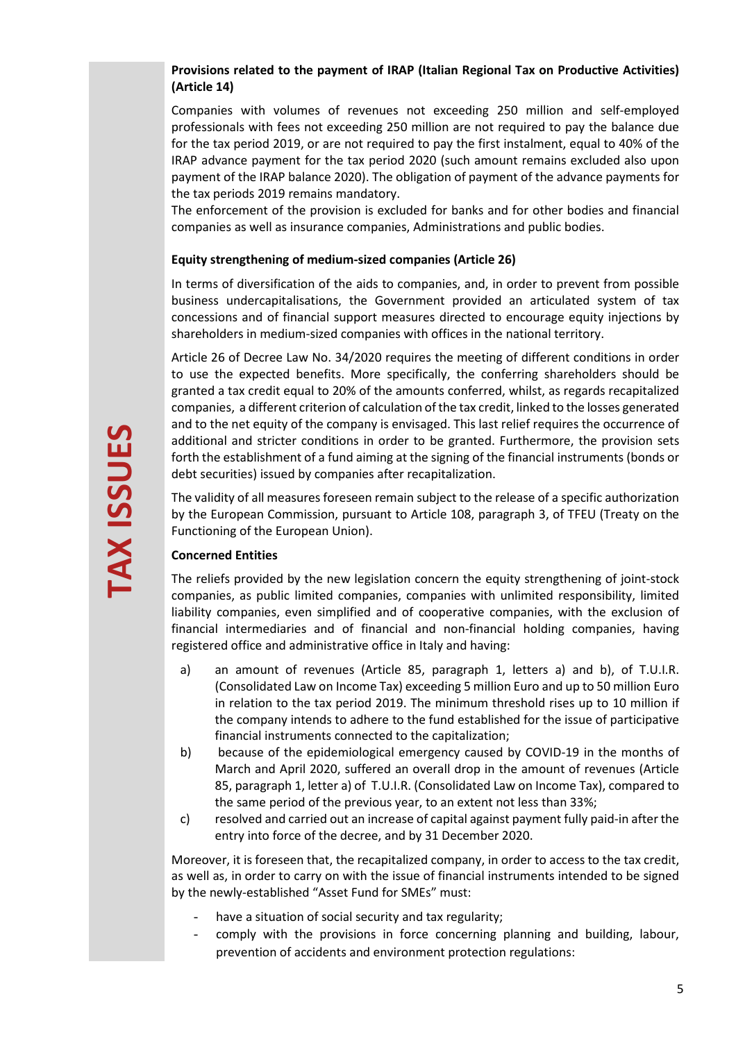# **Provisions related to the payment of IRAP (Italian Regional Tax on Productive Activities) (Article 14)**

Companies with volumes of revenues not exceeding 250 million and self-employed professionals with fees not exceeding 250 million are not required to pay the balance due for the tax period 2019, or are not required to pay the first instalment, equal to 40% of the IRAP advance payment for the tax period 2020 (such amount remains excluded also upon payment of the IRAP balance 2020). The obligation of payment of the advance payments for the tax periods 2019 remains mandatory.

The enforcement of the provision is excluded for banks and for other bodies and financial companies as well as insurance companies, Administrations and public bodies.

## **Equity strengthening of medium-sized companies (Article 26)**

In terms of diversification of the aids to companies, and, in order to prevent from possible business undercapitalisations, the Government provided an articulated system of tax concessions and of financial support measures directed to encourage equity injections by shareholders in medium-sized companies with offices in the national territory.

Article 26 of Decree Law No. 34/2020 requires the meeting of different conditions in order to use the expected benefits. More specifically, the conferring shareholders should be granted a tax credit equal to 20% of the amounts conferred, whilst, as regards recapitalized companies, a different criterion of calculation of the tax credit, linked to the losses generated and to the net equity of the company is envisaged. This last relief requires the occurrence of additional and stricter conditions in order to be granted. Furthermore, the provision sets forth the establishment of a fund aiming at the signing of the financial instruments (bonds or debt securities) issued by companies after recapitalization.

The validity of all measures foreseen remain subject to the release of a specific authorization by the European Commission, pursuant to Article 108, paragraph 3, of TFEU (Treaty on the Functioning of the European Union).

## **Concerned Entities**

The reliefs provided by the new legislation concern the equity strengthening of joint-stock companies, as public limited companies, companies with unlimited responsibility, limited liability companies, even simplified and of cooperative companies, with the exclusion of financial intermediaries and of financial and non-financial holding companies, having registered office and administrative office in Italy and having:

- a) an amount of revenues (Article 85, paragraph 1, letters a) and b), of T.U.I.R. (Consolidated Law on Income Tax) exceeding 5 million Euro and up to 50 million Euro in relation to the tax period 2019. The minimum threshold rises up to 10 million if the company intends to adhere to the fund established for the issue of participative financial instruments connected to the capitalization;
- b) because of the epidemiological emergency caused by COVID-19 in the months of March and April 2020, suffered an overall drop in the amount of revenues (Article 85, paragraph 1, letter a) of T.U.I.R. (Consolidated Law on Income Tax), compared to the same period of the previous year, to an extent not less than 33%;
- c) resolved and carried out an increase of capital against payment fully paid-in after the entry into force of the decree, and by 31 December 2020.

Moreover, it is foreseen that, the recapitalized company, in order to access to the tax credit, as well as, in order to carry on with the issue of financial instruments intended to be signed by the newly-established "Asset Fund for SMEs" must:

- have a situation of social security and tax regularity;
- comply with the provisions in force concerning planning and building, labour, prevention of accidents and environment protection regulations: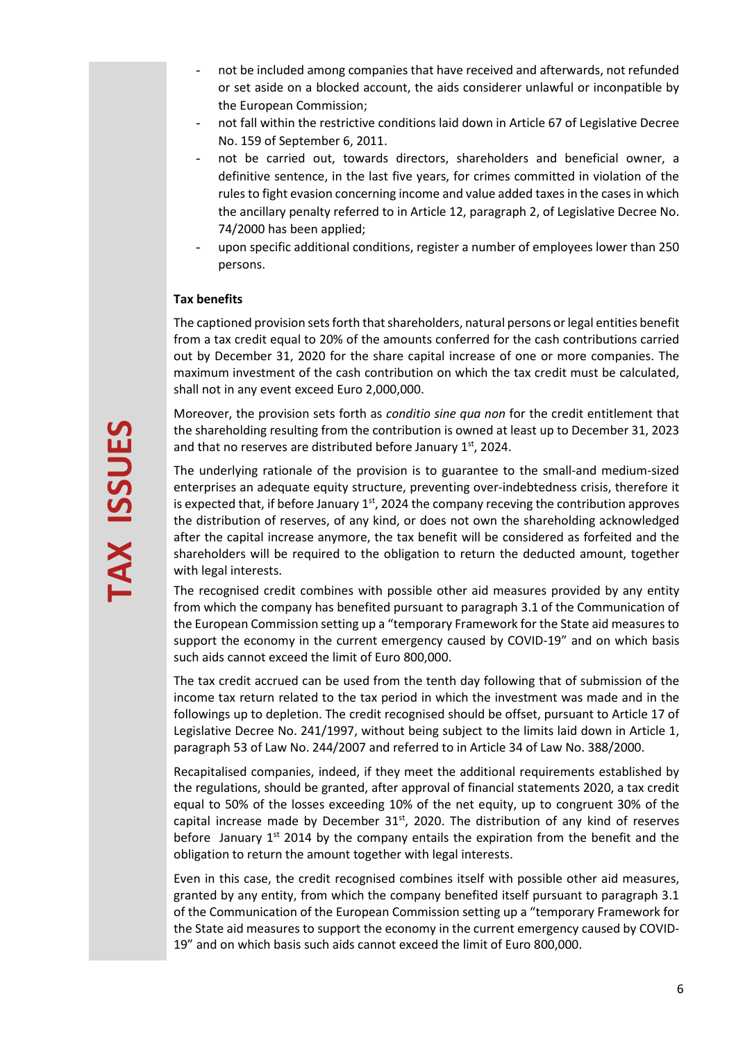- not be included among companies that have received and afterwards, not refunded or set aside on a blocked account, the aids considerer unlawful or inconpatible by the European Commission;
- not fall within the restrictive conditions laid down in Article 67 of Legislative Decree No. 159 of September 6, 2011.
- not be carried out, towards directors, shareholders and beneficial owner, a definitive sentence, in the last five years, for crimes committed in violation of the rules to fight evasion concerning income and value added taxes in the cases in which the ancillary penalty referred to in Article 12, paragraph 2, of Legislative Decree No. 74/2000 has been applied;
- upon specific additional conditions, register a number of employees lower than 250 persons.

## **Tax benefits**

The captioned provision sets forth that shareholders, natural persons or legal entities benefit from a tax credit equal to 20% of the amounts conferred for the cash contributions carried out by December 31, 2020 for the share capital increase of one or more companies. The maximum investment of the cash contribution on which the tax credit must be calculated, shall not in any event exceed Euro 2,000,000.

Moreover, the provision sets forth as *conditio sine qua non* for the credit entitlement that the shareholding resulting from the contribution is owned at least up to December 31, 2023 and that no reserves are distributed before January  $1<sup>st</sup>$ , 2024.

The underlying rationale of the provision is to guarantee to the small-and medium-sized enterprises an adequate equity structure, preventing over-indebtedness crisis, therefore it is expected that, if before January  $1<sup>st</sup>$ , 2024 the company receving the contribution approves the distribution of reserves, of any kind, or does not own the shareholding acknowledged after the capital increase anymore, the tax benefit will be considered as forfeited and the shareholders will be required to the obligation to return the deducted amount, together with legal interests.

The recognised credit combines with possible other aid measures provided by any entity from which the company has benefited pursuant to paragraph 3.1 of the Communication of the European Commission setting up a "temporary Framework for the State aid measures to support the economy in the current emergency caused by COVID-19" and on which basis such aids cannot exceed the limit of Euro 800,000.

The tax credit accrued can be used from the tenth day following that of submission of the income tax return related to the tax period in which the investment was made and in the followings up to depletion. The credit recognised should be offset, pursuant to Article 17 of Legislative Decree No. 241/1997, without being subject to the limits laid down in Article 1, paragraph 53 of Law No. 244/2007 and referred to in Article 34 of Law No. 388/2000.

Recapitalised companies, indeed, if they meet the additional requirements established by the regulations, should be granted, after approval of financial statements 2020, a tax credit equal to 50% of the losses exceeding 10% of the net equity, up to congruent 30% of the capital increase made by December  $31^{st}$ , 2020. The distribution of any kind of reserves before January 1<sup>st</sup> 2014 by the company entails the expiration from the benefit and the obligation to return the amount together with legal interests.

Even in this case, the credit recognised combines itself with possible other aid measures, granted by any entity, from which the company benefited itself pursuant to paragraph 3.1 of the Communication of the European Commission setting up a "temporary Framework for the State aid measures to support the economy in the current emergency caused by COVID-19" and on which basis such aids cannot exceed the limit of Euro 800,000.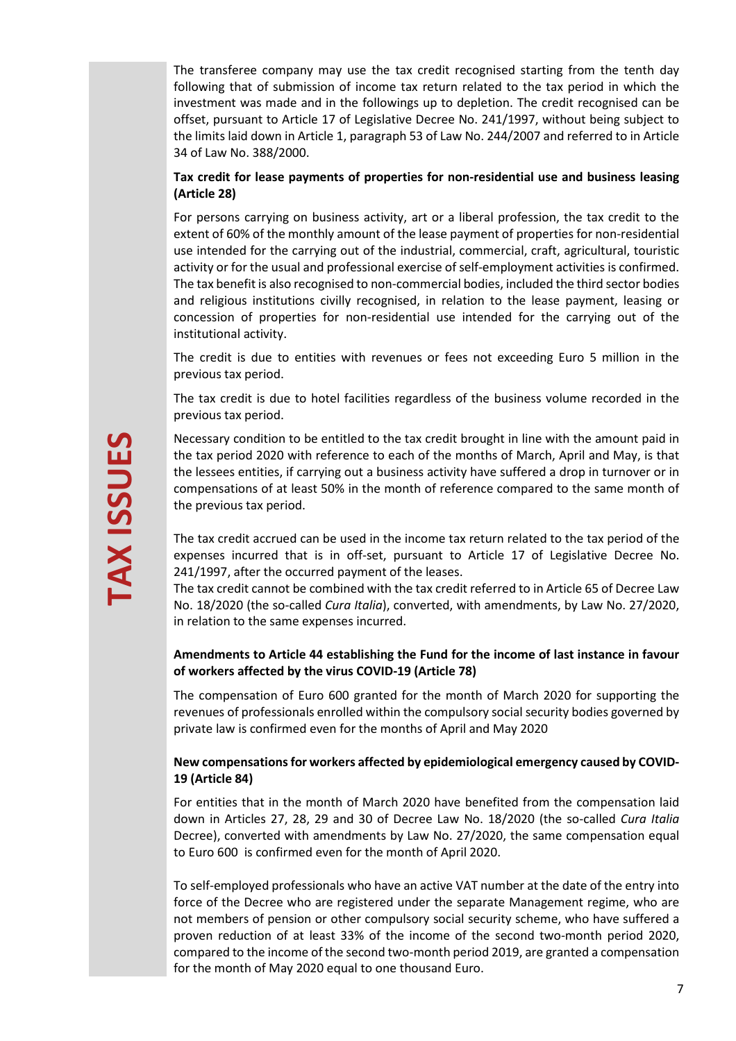The transferee company may use the tax credit recognised starting from the tenth day following that of submission of income tax return related to the tax period in which the investment was made and in the followings up to depletion. The credit recognised can be offset, pursuant to Article 17 of Legislative Decree No. 241/1997, without being subject to the limits laid down in Article 1, paragraph 53 of Law No. 244/2007 and referred to in Article 34 of Law No. 388/2000.

## **Tax credit for lease payments of properties for non-residential use and business leasing (Article 28)**

For persons carrying on business activity, art or a liberal profession, the tax credit to the extent of 60% of the monthly amount of the lease payment of properties for non-residential use intended for the carrying out of the industrial, commercial, craft, agricultural, touristic activity or for the usual and professional exercise of self-employment activities is confirmed. The tax benefit is also recognised to non-commercial bodies, included the third sector bodies and religious institutions civilly recognised, in relation to the lease payment, leasing or concession of properties for non-residential use intended for the carrying out of the institutional activity.

The credit is due to entities with revenues or fees not exceeding Euro 5 million in the previous tax period.

The tax credit is due to hotel facilities regardless of the business volume recorded in the previous tax period.

Necessary condition to be entitled to the tax credit brought in line with the amount paid in the tax period 2020 with reference to each of the months of March, April and May, is that the lessees entities, if carrying out a business activity have suffered a drop in turnover or in compensations of at least 50% in the month of reference compared to the same month of the previous tax period.

The tax credit accrued can be used in the income tax return related to the tax period of the expenses incurred that is in off-set, pursuant to Article 17 of Legislative Decree No. 241/1997, after the occurred payment of the leases.

The tax credit cannot be combined with the tax credit referred to in Article 65 of Decree Law No. 18/2020 (the so-called *Cura Italia*), converted, with amendments, by Law No. 27/2020, in relation to the same expenses incurred.

## **Amendments to Article 44 establishing the Fund for the income of last instance in favour of workers affected by the virus COVID-19 (Article 78)**

The compensation of Euro 600 granted for the month of March 2020 for supporting the revenues of professionals enrolled within the compulsory social security bodies governed by private law is confirmed even for the months of April and May 2020

## **New compensations for workers affected by epidemiological emergency caused by COVID-19 (Article 84)**

For entities that in the month of March 2020 have benefited from the compensation laid down in Articles 27, 28, 29 and 30 of Decree Law No. 18/2020 (the so-called *Cura Italia* Decree), converted with amendments by Law No. 27/2020, the same compensation equal to Euro 600 is confirmed even for the month of April 2020.

To self-employed professionals who have an active VAT number at the date of the entry into force of the Decree who are registered under the separate Management regime, who are not members of pension or other compulsory social security scheme, who have suffered a proven reduction of at least 33% of the income of the second two-month period 2020, compared to the income of the second two-month period 2019, are granted a compensation for the month of May 2020 equal to one thousand Euro.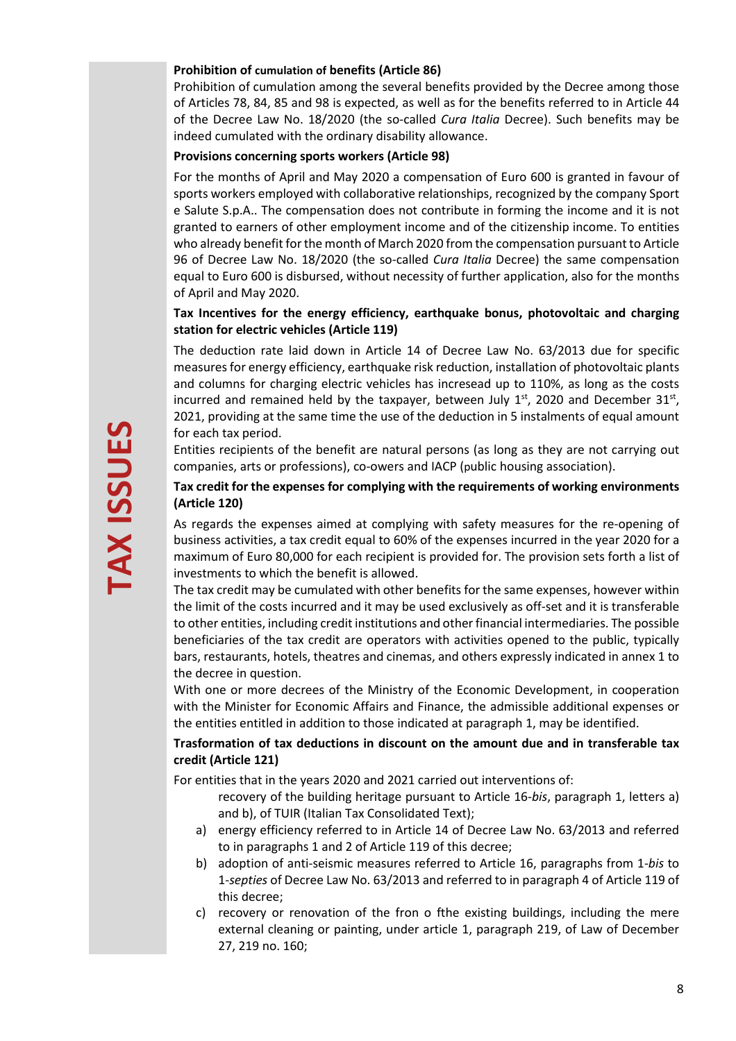## **Prohibition of cumulation of benefits (Article 86)**

Prohibition of cumulation among the several benefits provided by the Decree among those of Articles 78, 84, 85 and 98 is expected, as well as for the benefits referred to in Article 44 of the Decree Law No. 18/2020 (the so-called *Cura Italia* Decree). Such benefits may be indeed cumulated with the ordinary disability allowance.

#### **Provisions concerning sports workers (Article 98)**

For the months of April and May 2020 a compensation of Euro 600 is granted in favour of sports workers employed with collaborative relationships, recognized by the company Sport e Salute S.p.A.. The compensation does not contribute in forming the income and it is not granted to earners of other employment income and of the citizenship income. To entities who already benefit for the month of March 2020 from the compensation pursuant to Article 96 of Decree Law No. 18/2020 (the so-called *Cura Italia* Decree) the same compensation equal to Euro 600 is disbursed, without necessity of further application, also for the months of April and May 2020.

## **Tax Incentives for the energy efficiency, earthquake bonus, photovoltaic and charging station for electric vehicles (Article 119)**

The deduction rate laid down in Article 14 of Decree Law No. 63/2013 due for specific measures for energy efficiency, earthquake risk reduction, installation of photovoltaic plants and columns for charging electric vehicles has incresead up to 110%, as long as the costs incurred and remained held by the taxpayer, between July  $1^{st}$ , 2020 and December  $31^{st}$ , 2021, providing at the same time the use of the deduction in 5 instalments of equal amount for each tax period.

Entities recipients of the benefit are natural persons (as long as they are not carrying out companies, arts or professions), co-owers and IACP (public housing association).

# **Tax credit for the expenses for complying with the requirements of working environments (Article 120)**

As regards the expenses aimed at complying with safety measures for the re-opening of business activities, a tax credit equal to 60% of the expenses incurred in the year 2020 for a maximum of Euro 80,000 for each recipient is provided for. The provision sets forth a list of investments to which the benefit is allowed.

The tax credit may be cumulated with other benefits for the same expenses, however within the limit of the costs incurred and it may be used exclusively as off-set and it is transferable to other entities, including credit institutions and other financial intermediaries. The possible beneficiaries of the tax credit are operators with activities opened to the public, typically bars, restaurants, hotels, theatres and cinemas, and others expressly indicated in annex 1 to the decree in question.

With one or more decrees of the Ministry of the Economic Development, in cooperation with the Minister for Economic Affairs and Finance, the admissible additional expenses or the entities entitled in addition to those indicated at paragraph 1, may be identified.

## **Trasformation of tax deductions in discount on the amount due and in transferable tax credit (Article 121)**

For entities that in the years 2020 and 2021 carried out interventions of:

- recovery of the building heritage pursuant to Article 16-*bis*, paragraph 1, letters a) and b), of TUIR (Italian Tax Consolidated Text);
- a) energy efficiency referred to in Article 14 of Decree Law No. 63/2013 and referred to in paragraphs 1 and 2 of Article 119 of this decree;
- b) adoption of anti-seismic measures referred to Article 16, paragraphs from 1-*bis* to 1-*septies* of Decree Law No. 63/2013 and referred to in paragraph 4 of Article 119 of this decree;
- c) recovery or renovation of the fron o fthe existing buildings, including the mere external cleaning or painting, under article 1, paragraph 219, of Law of December 27, 219 no. 160;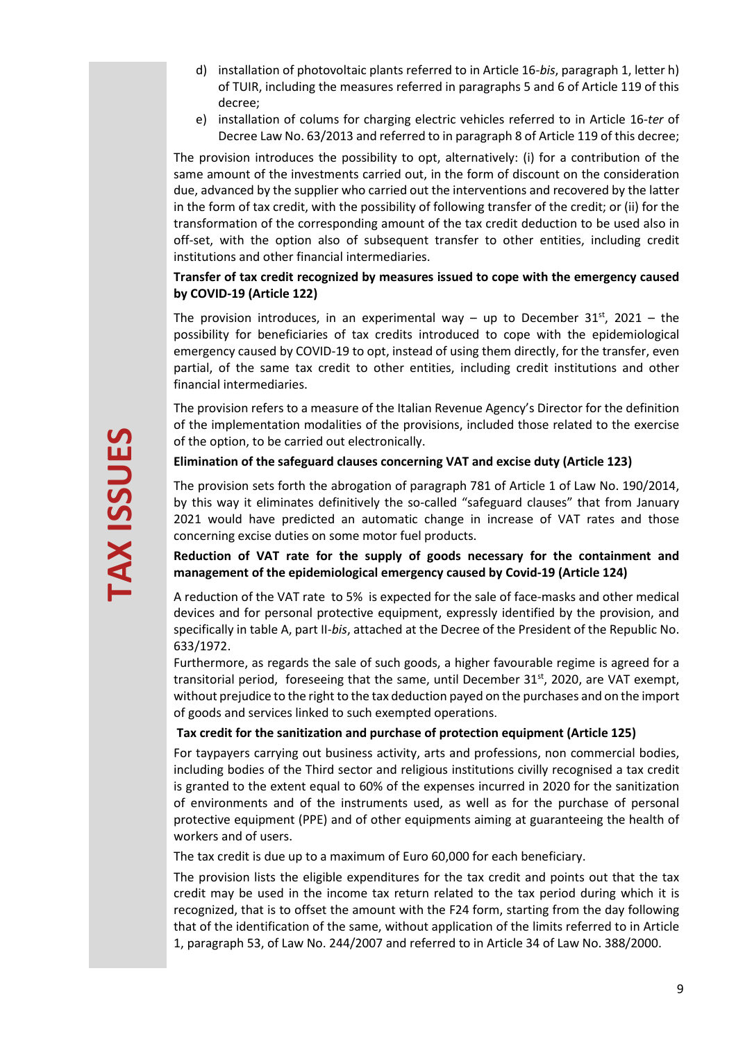- d) installation of photovoltaic plants referred to in Article 16-*bis*, paragraph 1, letter h) of TUIR, including the measures referred in paragraphs 5 and 6 of Article 119 of this decree;
- e) installation of colums for charging electric vehicles referred to in Article 16-*ter* of Decree Law No. 63/2013 and referred to in paragraph 8 of Article 119 of this decree;

The provision introduces the possibility to opt, alternatively: (i) for a contribution of the same amount of the investments carried out, in the form of discount on the consideration due, advanced by the supplier who carried out the interventions and recovered by the latter in the form of tax credit, with the possibility of following transfer of the credit; or (ii) for the transformation of the corresponding amount of the tax credit deduction to be used also in off-set, with the option also of subsequent transfer to other entities, including credit institutions and other financial intermediaries.

## **Transfer of tax credit recognized by measures issued to cope with the emergency caused by COVID-19 (Article 122)**

The provision introduces, in an experimental way – up to December 31<sup>st</sup>, 2021 – the possibility for beneficiaries of tax credits introduced to cope with the epidemiological emergency caused by COVID-19 to opt, instead of using them directly, for the transfer, even partial, of the same tax credit to other entities, including credit institutions and other financial intermediaries.

The provision refers to a measure of the Italian Revenue Agency's Director for the definition of the implementation modalities of the provisions, included those related to the exercise of the option, to be carried out electronically.

## **Elimination of the safeguard clauses concerning VAT and excise duty (Article 123)**

The provision sets forth the abrogation of paragraph 781 of Article 1 of Law No. 190/2014, by this way it eliminates definitively the so-called "safeguard clauses" that from January 2021 would have predicted an automatic change in increase of VAT rates and those concerning excise duties on some motor fuel products.

**Reduction of VAT rate for the supply of goods necessary for the containment and management of the epidemiological emergency caused by Covid-19 (Article 124)** 

A reduction of the VAT rate to 5% is expected for the sale of face-masks and other medical devices and for personal protective equipment, expressly identified by the provision, and specifically in table A, part II-*bis*, attached at the Decree of the President of the Republic No. 633/1972.

Furthermore, as regards the sale of such goods, a higher favourable regime is agreed for a transitorial period, foreseeing that the same, until December  $31^{st}$ , 2020, are VAT exempt, without prejudice to the right to the tax deduction payed on the purchases and on the import of goods and services linked to such exempted operations.

#### **Tax credit for the sanitization and purchase of protection equipment (Article 125)**

For taypayers carrying out business activity, arts and professions, non commercial bodies, including bodies of the Third sector and religious institutions civilly recognised a tax credit is granted to the extent equal to 60% of the expenses incurred in 2020 for the sanitization of environments and of the instruments used, as well as for the purchase of personal protective equipment (PPE) and of other equipments aiming at guaranteeing the health of workers and of users.

The tax credit is due up to a maximum of Euro 60,000 for each beneficiary.

The provision lists the eligible expenditures for the tax credit and points out that the tax credit may be used in the income tax return related to the tax period during which it is recognized, that is to offset the amount with the F24 form, starting from the day following that of the identification of the same, without application of the limits referred to in Article 1, paragraph 53, of Law No. 244/2007 and referred to in Article 34 of Law No. 388/2000.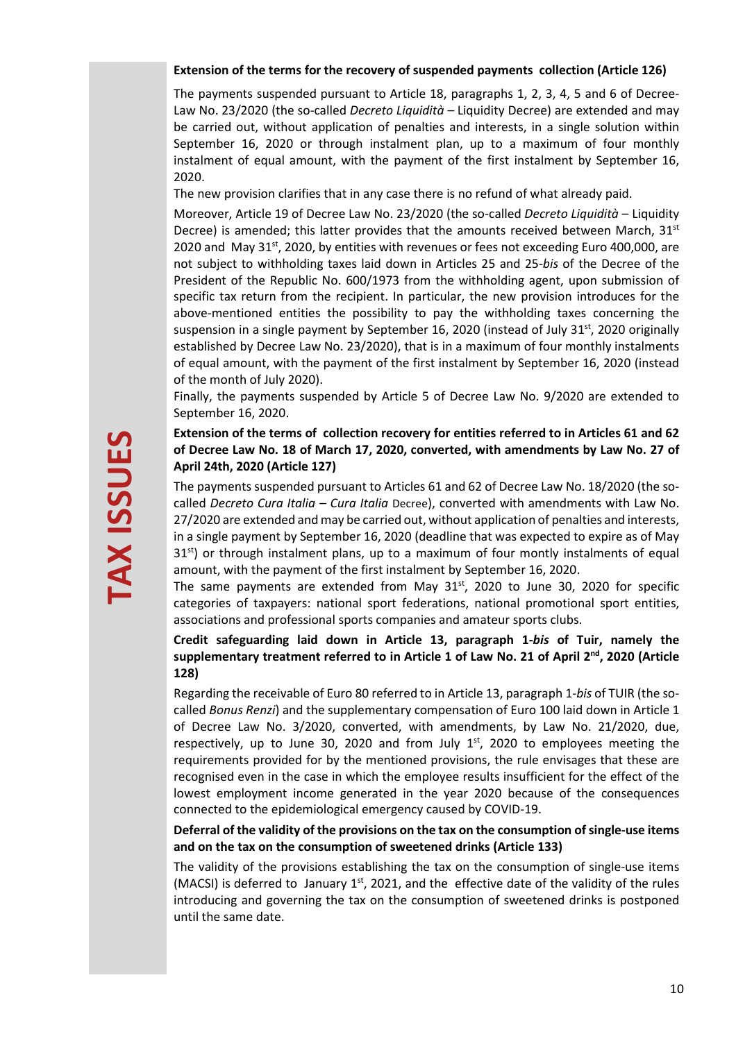#### **Extension of the terms for the recovery of suspended payments collection (Article 126)**

The payments suspended pursuant to Article 18, paragraphs 1, 2, 3, 4, 5 and 6 of Decree-Law No. 23/2020 (the so-called *Decreto Liquidità* – Liquidity Decree) are extended and may be carried out, without application of penalties and interests, in a single solution within September 16, 2020 or through instalment plan, up to a maximum of four monthly instalment of equal amount, with the payment of the first instalment by September 16, 2020.

The new provision clarifies that in any case there is no refund of what already paid.

Moreover, Article 19 of Decree Law No. 23/2020 (the so-called *Decreto Liquidità* – Liquidity Decree) is amended; this latter provides that the amounts received between March,  $31<sup>st</sup>$ 2020 and May  $31^{st}$ , 2020, by entities with revenues or fees not exceeding Euro 400,000, are not subject to withholding taxes laid down in Articles 25 and 25-*bis* of the Decree of the President of the Republic No. 600/1973 from the withholding agent, upon submission of specific tax return from the recipient. In particular, the new provision introduces for the above-mentioned entities the possibility to pay the withholding taxes concerning the suspension in a single payment by September 16, 2020 (instead of July 31<sup>st</sup>, 2020 originally established by Decree Law No. 23/2020), that is in a maximum of four monthly instalments of equal amount, with the payment of the first instalment by September 16, 2020 (instead of the month of July 2020).

Finally, the payments suspended by Article 5 of Decree Law No. 9/2020 are extended to September 16, 2020.

# **Extension of the terms of collection recovery for entities referred to in Articles 61 and 62 of Decree Law No. 18 of March 17, 2020, converted, with amendments by Law No. 27 of April 24th, 2020 (Article 127)**

The payments suspended pursuant to Articles 61 and 62 of Decree Law No. 18/2020 (the socalled *Decreto Cura Italia – Cura Italia* Decree), converted with amendments with Law No. 27/2020 are extended and may be carried out, without application of penalties and interests, in a single payment by September 16, 2020 (deadline that was expected to expire as of May  $31<sup>st</sup>$ ) or through instalment plans, up to a maximum of four montly instalments of equal amount, with the payment of the first instalment by September 16, 2020.

The same payments are extended from May  $31<sup>st</sup>$ , 2020 to June 30, 2020 for specific categories of taxpayers: national sport federations, national promotional sport entities, associations and professional sports companies and amateur sports clubs.

# **Credit safeguarding laid down in Article 13, paragraph 1-***bis* **of Tuir, namely the supplementary treatment referred to in Article 1 of Law No. 21 of April 2nd, 2020 (Article 128)**

Regarding the receivable of Euro 80 referred to in Article 13, paragraph 1-*bis* of TUIR (the socalled *Bonus Renzi*) and the supplementary compensation of Euro 100 laid down in Article 1 of Decree Law No. 3/2020, converted, with amendments, by Law No. 21/2020, due, respectively, up to June 30, 2020 and from July  $1<sup>st</sup>$ , 2020 to employees meeting the requirements provided for by the mentioned provisions, the rule envisages that these are recognised even in the case in which the employee results insufficient for the effect of the lowest employment income generated in the year 2020 because of the consequences connected to the epidemiological emergency caused by COVID-19.

# **Deferral of the validity of the provisions on the tax on the consumption of single-use items and on the tax on the consumption of sweetened drinks (Article 133)**

The validity of the provisions establishing the tax on the consumption of single-use items (MACSI) is deferred to January  $1<sup>st</sup>$ , 2021, and the effective date of the validity of the rules introducing and governing the tax on the consumption of sweetened drinks is postponed until the same date.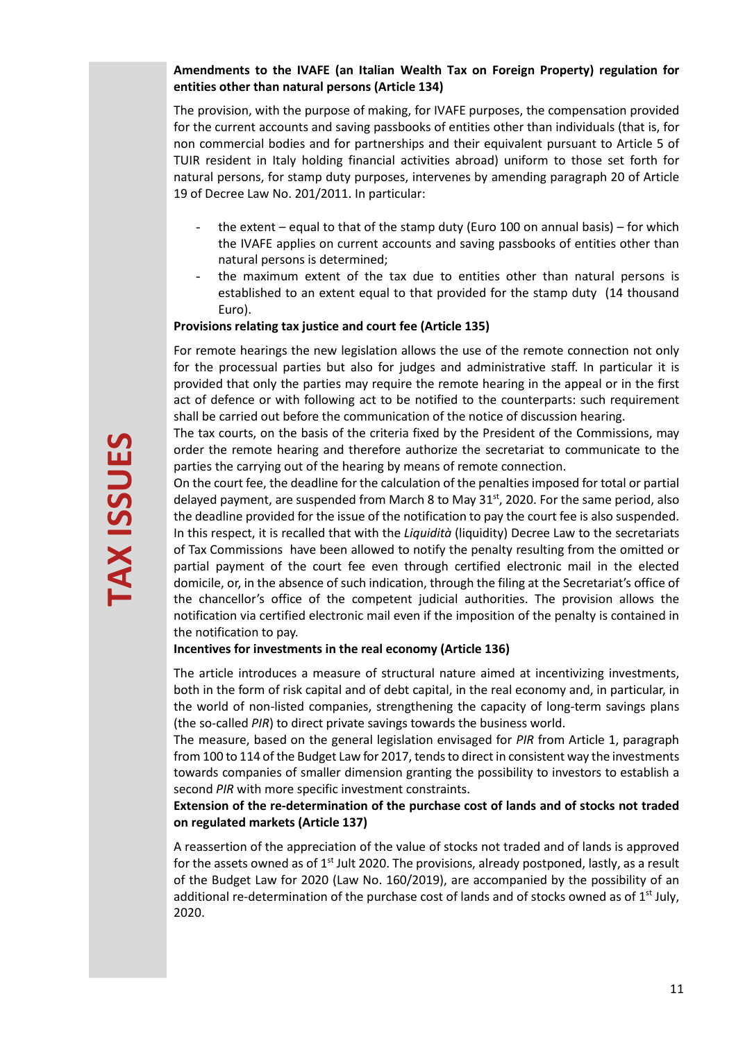## **Amendments to the IVAFE (an Italian Wealth Tax on Foreign Property) regulation for entities other than natural persons (Article 134)**

The provision, with the purpose of making, for IVAFE purposes, the compensation provided for the current accounts and saving passbooks of entities other than individuals (that is, for non commercial bodies and for partnerships and their equivalent pursuant to Article 5 of TUIR resident in Italy holding financial activities abroad) uniform to those set forth for natural persons, for stamp duty purposes, intervenes by amending paragraph 20 of Article 19 of Decree Law No. 201/2011. In particular:

- the extent equal to that of the stamp duty (Euro 100 on annual basis) for which the IVAFE applies on current accounts and saving passbooks of entities other than natural persons is determined;
- the maximum extent of the tax due to entities other than natural persons is established to an extent equal to that provided for the stamp duty (14 thousand Euro).

#### **Provisions relating tax justice and court fee (Article 135)**

For remote hearings the new legislation allows the use of the remote connection not only for the processual parties but also for judges and administrative staff. In particular it is provided that only the parties may require the remote hearing in the appeal or in the first act of defence or with following act to be notified to the counterparts: such requirement shall be carried out before the communication of the notice of discussion hearing.

The tax courts, on the basis of the criteria fixed by the President of the Commissions, may order the remote hearing and therefore authorize the secretariat to communicate to the parties the carrying out of the hearing by means of remote connection.

On the court fee, the deadline for the calculation of the penalties imposed for total or partial delayed payment, are suspended from March 8 to May 31 $st$ , 2020. For the same period, also the deadline provided for the issue of the notification to pay the court fee is also suspended. In this respect, it is recalled that with the *Liquidità* (liquidity) Decree Law to the secretariats of Tax Commissions have been allowed to notify the penalty resulting from the omitted or partial payment of the court fee even through certified electronic mail in the elected domicile, or, in the absence of such indication, through the filing at the Secretariat's office of the chancellor's office of the competent judicial authorities. The provision allows the notification via certified electronic mail even if the imposition of the penalty is contained in the notification to pay.

#### **Incentives for investments in the real economy (Article 136)**

The article introduces a measure of structural nature aimed at incentivizing investments, both in the form of risk capital and of debt capital, in the real economy and, in particular, in the world of non-listed companies, strengthening the capacity of long-term savings plans (the so-called *PIR*) to direct private savings towards the business world.

The measure, based on the general legislation envisaged for *PIR* from Article 1, paragraph from 100 to 114 of the Budget Law for 2017, tends to direct in consistent way the investments towards companies of smaller dimension granting the possibility to investors to establish a second *PIR* with more specific investment constraints.

## **Extension of the re-determination of the purchase cost of lands and of stocks not traded on regulated markets (Article 137)**

A reassertion of the appreciation of the value of stocks not traded and of lands is approved for the assets owned as of  $1<sup>st</sup>$  Jult 2020. The provisions, already postponed, lastly, as a result of the Budget Law for 2020 (Law No. 160/2019), are accompanied by the possibility of an additional re-determination of the purchase cost of lands and of stocks owned as of  $1<sup>st</sup>$  July, 2020.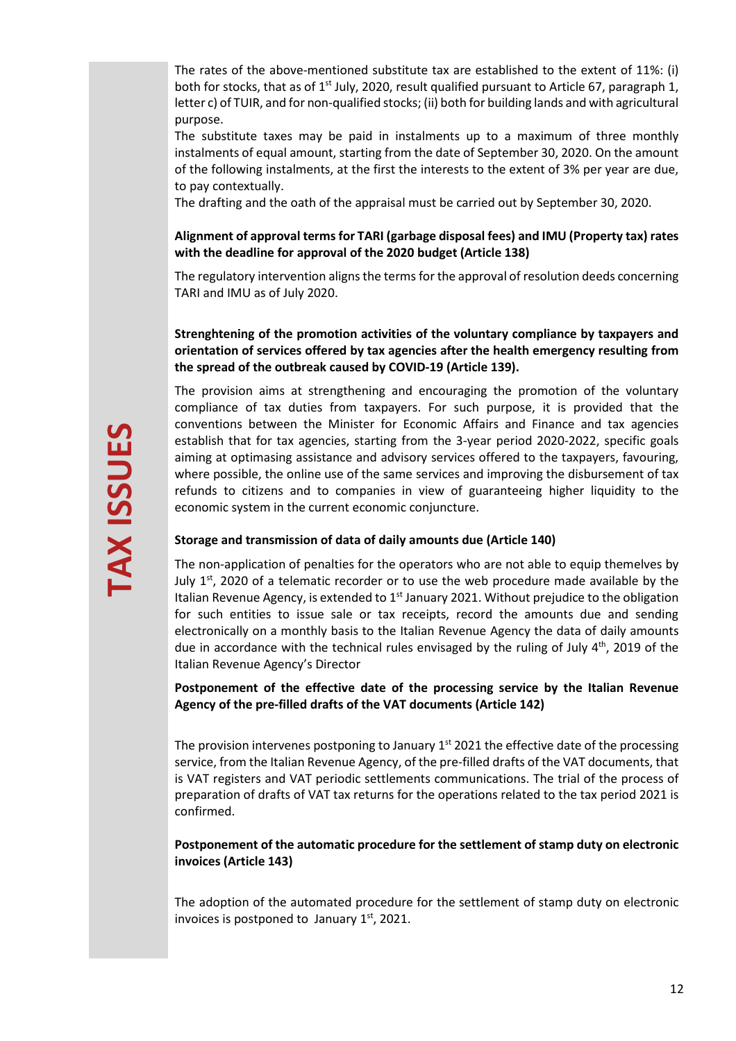The rates of the above-mentioned substitute tax are established to the extent of 11%: (i) both for stocks, that as of  $1<sup>st</sup>$  July, 2020, result qualified pursuant to Article 67, paragraph 1, letter c) of TUIR, and for non-qualified stocks; (ii) both for building lands and with agricultural purpose.

The substitute taxes may be paid in instalments up to a maximum of three monthly instalments of equal amount, starting from the date of September 30, 2020. On the amount of the following instalments, at the first the interests to the extent of 3% per year are due, to pay contextually.

The drafting and the oath of the appraisal must be carried out by September 30, 2020.

## **Alignment of approval terms for TARI (garbage disposal fees) and IMU (Property tax) rates with the deadline for approval of the 2020 budget (Article 138)**

The regulatory intervention aligns the terms for the approval of resolution deeds concerning TARI and IMU as of July 2020.

## **Strenghtening of the promotion activities of the voluntary compliance by taxpayers and orientation of services offered by tax agencies after the health emergency resulting from the spread of the outbreak caused by COVID-19 (Article 139).**

The provision aims at strengthening and encouraging the promotion of the voluntary compliance of tax duties from taxpayers. For such purpose, it is provided that the conventions between the Minister for Economic Affairs and Finance and tax agencies establish that for tax agencies, starting from the 3-year period 2020-2022, specific goals aiming at optimasing assistance and advisory services offered to the taxpayers, favouring, where possible, the online use of the same services and improving the disbursement of tax refunds to citizens and to companies in view of guaranteeing higher liquidity to the economic system in the current economic conjuncture.

## **Storage and transmission of data of daily amounts due (Article 140)**

The non-application of penalties for the operators who are not able to equip themelves by July  $1^{st}$ , 2020 of a telematic recorder or to use the web procedure made available by the Italian Revenue Agency, is extended to  $1<sup>st</sup>$  January 2021. Without prejudice to the obligation for such entities to issue sale or tax receipts, record the amounts due and sending electronically on a monthly basis to the Italian Revenue Agency the data of daily amounts due in accordance with the technical rules envisaged by the ruling of July  $4<sup>th</sup>$ , 2019 of the Italian Revenue Agency's Director

**Postponement of the effective date of the processing service by the Italian Revenue Agency of the pre-filled drafts of the VAT documents (Article 142)** 

The provision intervenes postponing to January  $1<sup>st</sup>$  2021 the effective date of the processing service, from the Italian Revenue Agency, of the pre-filled drafts of the VAT documents, that is VAT registers and VAT periodic settlements communications. The trial of the process of preparation of drafts of VAT tax returns for the operations related to the tax period 2021 is confirmed.

## **Postponement of the automatic procedure for the settlement of stamp duty on electronic invoices (Article 143)**

The adoption of the automated procedure for the settlement of stamp duty on electronic invoices is postponed to January  $1<sup>st</sup>$ , 2021.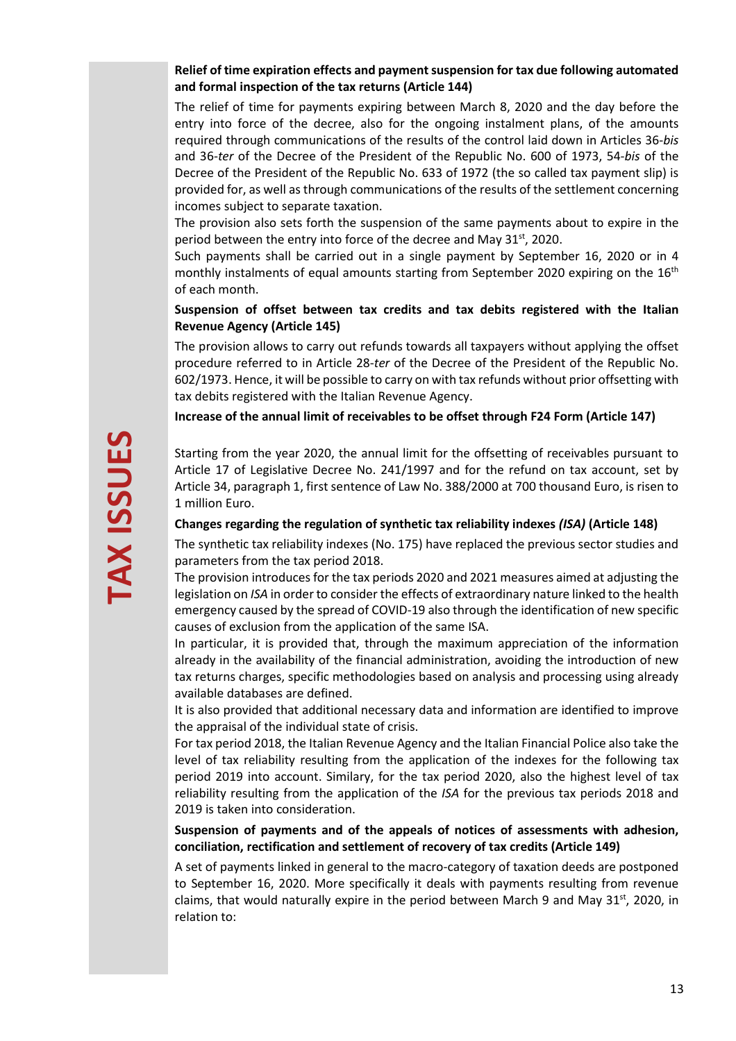## **Relief of time expiration effects and payment suspension for tax due following automated and formal inspection of the tax returns (Article 144)**

The relief of time for payments expiring between March 8, 2020 and the day before the entry into force of the decree, also for the ongoing instalment plans, of the amounts required through communications of the results of the control laid down in Articles 36-*bis* and 36-*ter* of the Decree of the President of the Republic No. 600 of 1973, 54-*bis* of the Decree of the President of the Republic No. 633 of 1972 (the so called tax payment slip) is provided for, as well as through communications of the results of the settlement concerning incomes subject to separate taxation.

The provision also sets forth the suspension of the same payments about to expire in the period between the entry into force of the decree and May 31st, 2020.

Such payments shall be carried out in a single payment by September 16, 2020 or in 4 monthly instalments of equal amounts starting from September 2020 expiring on the  $16<sup>th</sup>$ of each month.

## **Suspension of offset between tax credits and tax debits registered with the Italian Revenue Agency (Article 145)**

The provision allows to carry out refunds towards all taxpayers without applying the offset procedure referred to in Article 28-*ter* of the Decree of the President of the Republic No. 602/1973. Hence, it will be possible to carry on with tax refunds without prior offsetting with tax debits registered with the Italian Revenue Agency.

## **Increase of the annual limit of receivables to be offset through F24 Form (Article 147)**

Starting from the year 2020, the annual limit for the offsetting of receivables pursuant to Article 17 of Legislative Decree No. 241/1997 and for the refund on tax account, set by Article 34, paragraph 1, first sentence of Law No. 388/2000 at 700 thousand Euro, is risen to 1 million Euro.

#### **Changes regarding the regulation of synthetic tax reliability indexes** *(ISA)* **(Article 148)**

The synthetic tax reliability indexes (No. 175) have replaced the previous sector studies and parameters from the tax period 2018.

The provision introduces for the tax periods 2020 and 2021 measures aimed at adjusting the legislation on *ISA* in order to consider the effects of extraordinary nature linked to the health emergency caused by the spread of COVID-19 also through the identification of new specific causes of exclusion from the application of the same ISA.

In particular, it is provided that, through the maximum appreciation of the information already in the availability of the financial administration, avoiding the introduction of new tax returns charges, specific methodologies based on analysis and processing using already available databases are defined.

It is also provided that additional necessary data and information are identified to improve the appraisal of the individual state of crisis.

For tax period 2018, the Italian Revenue Agency and the Italian Financial Police also take the level of tax reliability resulting from the application of the indexes for the following tax period 2019 into account. Similary, for the tax period 2020, also the highest level of tax reliability resulting from the application of the *ISA* for the previous tax periods 2018 and 2019 is taken into consideration.

## **Suspension of payments and of the appeals of notices of assessments with adhesion, conciliation, rectification and settlement of recovery of tax credits (Article 149)**

A set of payments linked in general to the macro-category of taxation deeds are postponed to September 16, 2020. More specifically it deals with payments resulting from revenue claims, that would naturally expire in the period between March 9 and May  $31<sup>st</sup>$ , 2020, in relation to: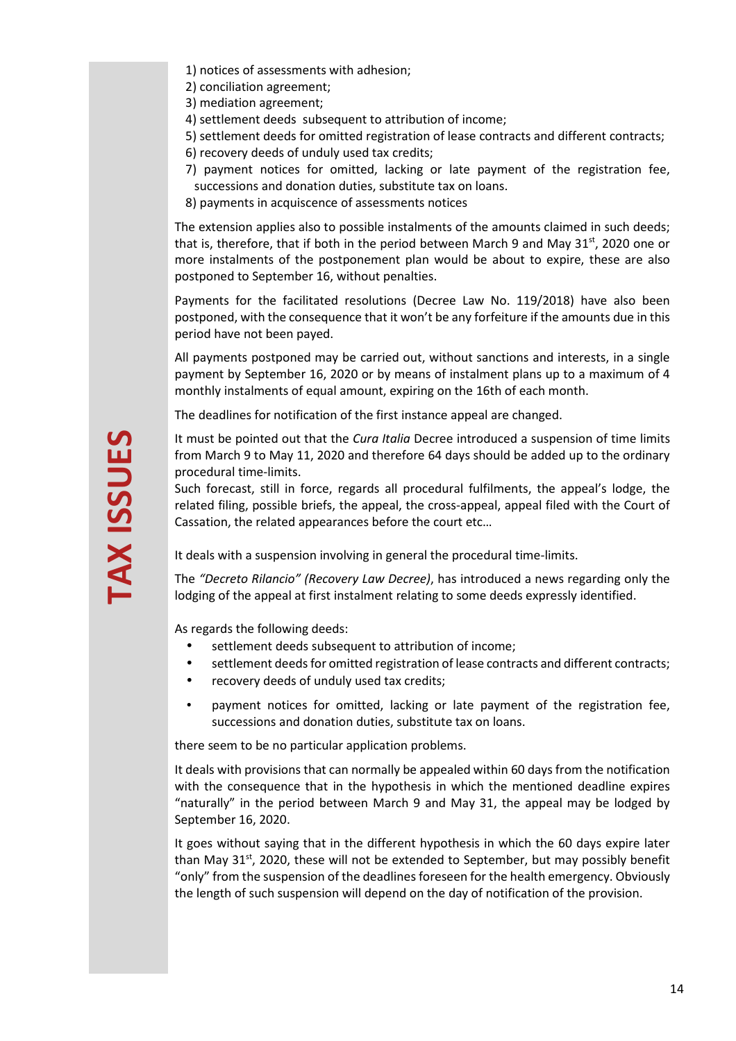- 1) notices of assessments with adhesion;
- 2) conciliation agreement;
- 3) mediation agreement;
- 4) settlement deeds subsequent to attribution of income;
- 5) settlement deeds for omitted registration of lease contracts and different contracts;
- 6) recovery deeds of unduly used tax credits;
- 7) payment notices for omitted, lacking or late payment of the registration fee, successions and donation duties, substitute tax on loans.
- 8) payments in acquiscence of assessments notices

The extension applies also to possible instalments of the amounts claimed in such deeds; that is, therefore, that if both in the period between March 9 and May  $31<sup>st</sup>$ , 2020 one or more instalments of the postponement plan would be about to expire, these are also postponed to September 16, without penalties.

Payments for the facilitated resolutions (Decree Law No. 119/2018) have also been postponed, with the consequence that it won't be any forfeiture if the amounts due in this period have not been payed.

All payments postponed may be carried out, without sanctions and interests, in a single payment by September 16, 2020 or by means of instalment plans up to a maximum of 4 monthly instalments of equal amount, expiring on the 16th of each month.

The deadlines for notification of the first instance appeal are changed.

It must be pointed out that the *Cura Italia* Decree introduced a suspension of time limits from March 9 to May 11, 2020 and therefore 64 days should be added up to the ordinary procedural time-limits.

Such forecast, still in force, regards all procedural fulfilments, the appeal's lodge, the related filing, possible briefs, the appeal, the cross-appeal, appeal filed with the Court of Cassation, the related appearances before the court etc…

It deals with a suspension involving in general the procedural time-limits.

The *"Decreto Rilancio" (Recovery Law Decree)*, has introduced a news regarding only the lodging of the appeal at first instalment relating to some deeds expressly identified.

As regards the following deeds:

- settlement deeds subsequent to attribution of income;
- settlement deeds for omitted registration of lease contracts and different contracts;
- recovery deeds of unduly used tax credits;
- payment notices for omitted, lacking or late payment of the registration fee, successions and donation duties, substitute tax on loans.

there seem to be no particular application problems.

It deals with provisions that can normally be appealed within 60 days from the notification with the consequence that in the hypothesis in which the mentioned deadline expires "naturally" in the period between March 9 and May 31, the appeal may be lodged by September 16, 2020.

It goes without saying that in the different hypothesis in which the 60 days expire later than May  $31^{st}$ , 2020, these will not be extended to September, but may possibly benefit "only" from the suspension of the deadlines foreseen for the health emergency. Obviously the length of such suspension will depend on the day of notification of the provision.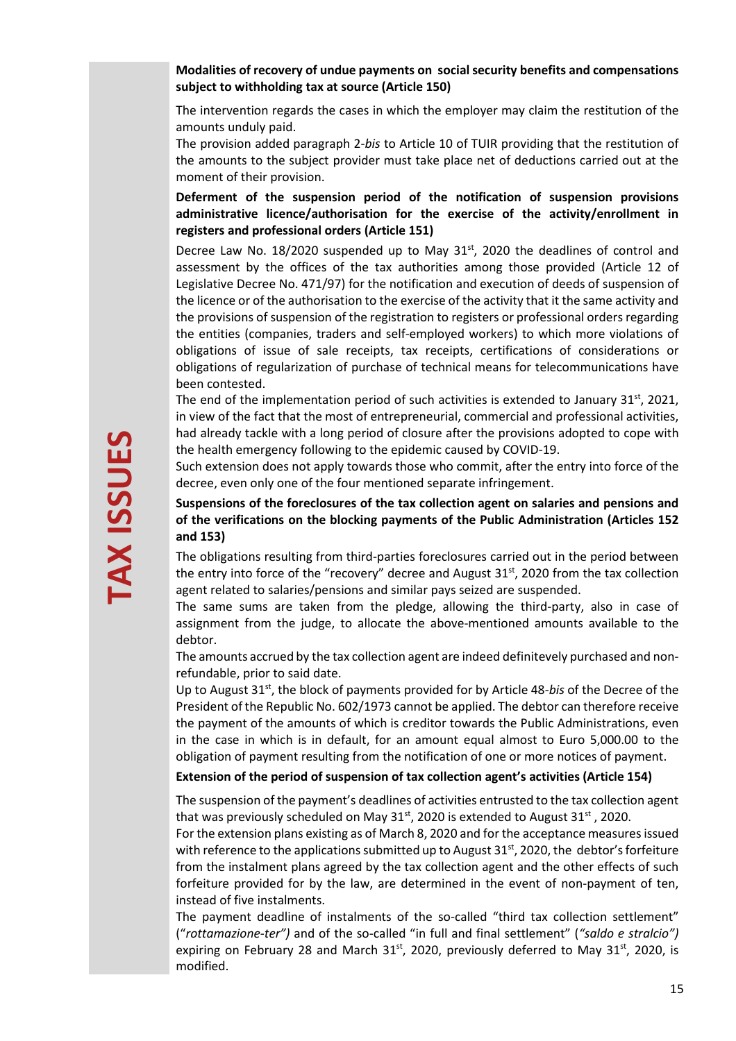**Modalities of recovery of undue payments on social security benefits and compensations subject to withholding tax at source (Article 150)** 

The intervention regards the cases in which the employer may claim the restitution of the amounts unduly paid.

The provision added paragraph 2-*bis* to Article 10 of TUIR providing that the restitution of the amounts to the subject provider must take place net of deductions carried out at the moment of their provision.

**Deferment of the suspension period of the notification of suspension provisions administrative licence/authorisation for the exercise of the activity/enrollment in registers and professional orders (Article 151)** 

Decree Law No. 18/2020 suspended up to May  $31<sup>st</sup>$ , 2020 the deadlines of control and assessment by the offices of the tax authorities among those provided (Article 12 of Legislative Decree No. 471/97) for the notification and execution of deeds of suspension of the licence or of the authorisation to the exercise of the activity that it the same activity and the provisions of suspension of the registration to registers or professional orders regarding the entities (companies, traders and self-employed workers) to which more violations of obligations of issue of sale receipts, tax receipts, certifications of considerations or obligations of regularization of purchase of technical means for telecommunications have been contested.

The end of the implementation period of such activities is extended to January  $31<sup>st</sup>$ , 2021, in view of the fact that the most of entrepreneurial, commercial and professional activities, had already tackle with a long period of closure after the provisions adopted to cope with the health emergency following to the epidemic caused by COVID-19.

Such extension does not apply towards those who commit, after the entry into force of the decree, even only one of the four mentioned separate infringement.

## **Suspensions of the foreclosures of the tax collection agent on salaries and pensions and of the verifications on the blocking payments of the Public Administration (Articles 152 and 153)**

The obligations resulting from third-parties foreclosures carried out in the period between the entry into force of the "recovery" decree and August 31<sup>st</sup>, 2020 from the tax collection agent related to salaries/pensions and similar pays seized are suspended.

The same sums are taken from the pledge, allowing the third-party, also in case of assignment from the judge, to allocate the above-mentioned amounts available to the debtor.

The amounts accrued by the tax collection agent are indeed definitevely purchased and nonrefundable, prior to said date.

Up to August 31st, the block of payments provided for by Article 48-*bis* of the Decree of the President of the Republic No. 602/1973 cannot be applied. The debtor can therefore receive the payment of the amounts of which is creditor towards the Public Administrations, even in the case in which is in default, for an amount equal almost to Euro 5,000.00 to the obligation of payment resulting from the notification of one or more notices of payment.

**Extension of the period of suspension of tax collection agent's activities (Article 154)** 

The suspension of the payment's deadlines of activities entrusted to the tax collection agent that was previously scheduled on May  $31<sup>st</sup>$ , 2020 is extended to August  $31<sup>st</sup>$ , 2020.

For the extension plans existing as of March 8, 2020 and for the acceptance measures issued with reference to the applications submitted up to August 31<sup>st</sup>, 2020, the debtor's forfeiture from the instalment plans agreed by the tax collection agent and the other effects of such forfeiture provided for by the law, are determined in the event of non-payment of ten, instead of five instalments.

The payment deadline of instalments of the so-called "third tax collection settlement" ("*rottamazione-ter")* and of the so-called "in full and final settlement" (*"saldo e stralcio")* expiring on February 28 and March  $31<sup>st</sup>$ , 2020, previously deferred to May  $31<sup>st</sup>$ , 2020, is modified.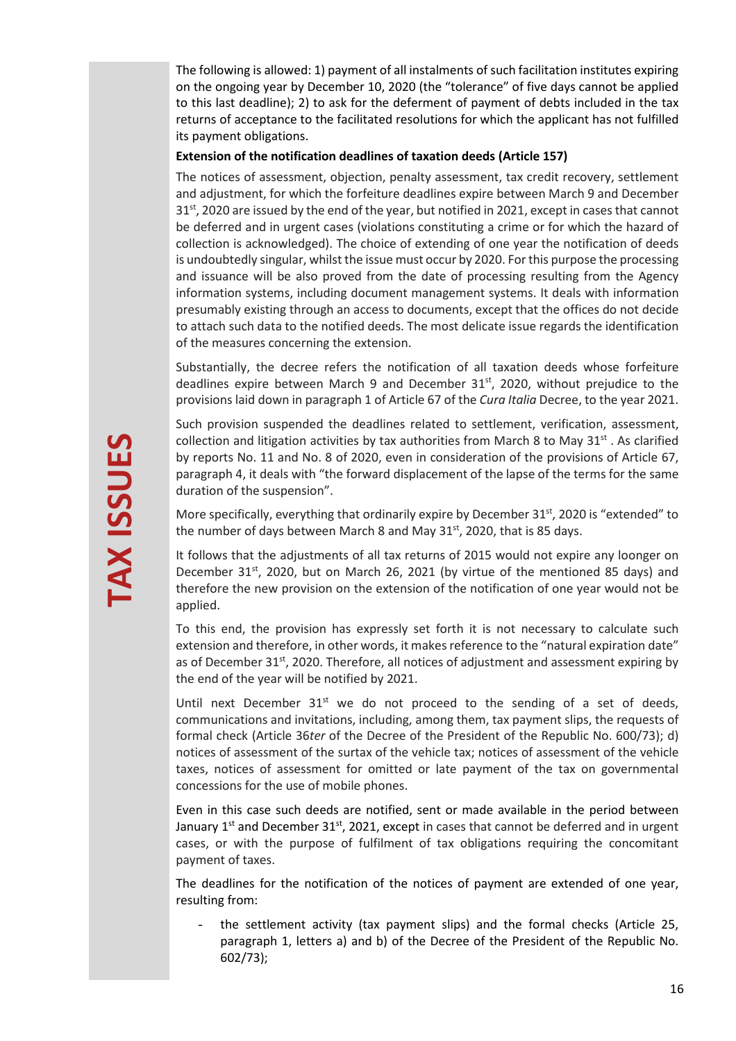The following is allowed: 1) payment of all instalments of such facilitation institutes expiring on the ongoing year by December 10, 2020 (the "tolerance" of five days cannot be applied to this last deadline); 2) to ask for the deferment of payment of debts included in the tax returns of acceptance to the facilitated resolutions for which the applicant has not fulfilled its payment obligations.

#### **Extension of the notification deadlines of taxation deeds (Article 157)**

The notices of assessment, objection, penalty assessment, tax credit recovery, settlement and adjustment, for which the forfeiture deadlines expire between March 9 and December  $31<sup>st</sup>$ , 2020 are issued by the end of the year, but notified in 2021, except in cases that cannot be deferred and in urgent cases (violations constituting a crime or for which the hazard of collection is acknowledged). The choice of extending of one year the notification of deeds is undoubtedly singular, whilst the issue must occur by 2020. For this purpose the processing and issuance will be also proved from the date of processing resulting from the Agency information systems, including document management systems. It deals with information presumably existing through an access to documents, except that the offices do not decide to attach such data to the notified deeds. The most delicate issue regards the identification of the measures concerning the extension.

Substantially, the decree refers the notification of all taxation deeds whose forfeiture deadlines expire between March 9 and December 31<sup>st</sup>, 2020, without prejudice to the provisions laid down in paragraph 1 of Article 67 of the *Cura Italia* Decree, to the year 2021.

Such provision suspended the deadlines related to settlement, verification, assessment, collection and litigation activities by tax authorities from March 8 to May  $31^{st}$ . As clarified by reports No. 11 and No. 8 of 2020, even in consideration of the provisions of Article 67, paragraph 4, it deals with "the forward displacement of the lapse of the terms for the same duration of the suspension".

More specifically, everything that ordinarily expire by December  $31^{st}$ , 2020 is "extended" to the number of days between March 8 and May  $31<sup>st</sup>$ , 2020, that is 85 days.

It follows that the adjustments of all tax returns of 2015 would not expire any loonger on December  $31^{st}$ , 2020, but on March 26, 2021 (by virtue of the mentioned 85 days) and therefore the new provision on the extension of the notification of one year would not be applied.

To this end, the provision has expressly set forth it is not necessary to calculate such extension and therefore, in other words, it makes reference to the "natural expiration date" as of December  $31^{st}$ , 2020. Therefore, all notices of adjustment and assessment expiring by the end of the year will be notified by 2021.

Until next December  $31^{st}$  we do not proceed to the sending of a set of deeds, communications and invitations, including, among them, tax payment slips, the requests of formal check (Article 36*ter* of the Decree of the President of the Republic No. 600/73); d) notices of assessment of the surtax of the vehicle tax; notices of assessment of the vehicle taxes, notices of assessment for omitted or late payment of the tax on governmental concessions for the use of mobile phones.

Even in this case such deeds are notified, sent or made available in the period between January  $1<sup>st</sup>$  and December 31<sup>st</sup>, 2021, except in cases that cannot be deferred and in urgent cases, or with the purpose of fulfilment of tax obligations requiring the concomitant payment of taxes.

The deadlines for the notification of the notices of payment are extended of one year, resulting from:

the settlement activity (tax payment slips) and the formal checks (Article 25, paragraph 1, letters a) and b) of the Decree of the President of the Republic No. 602/73);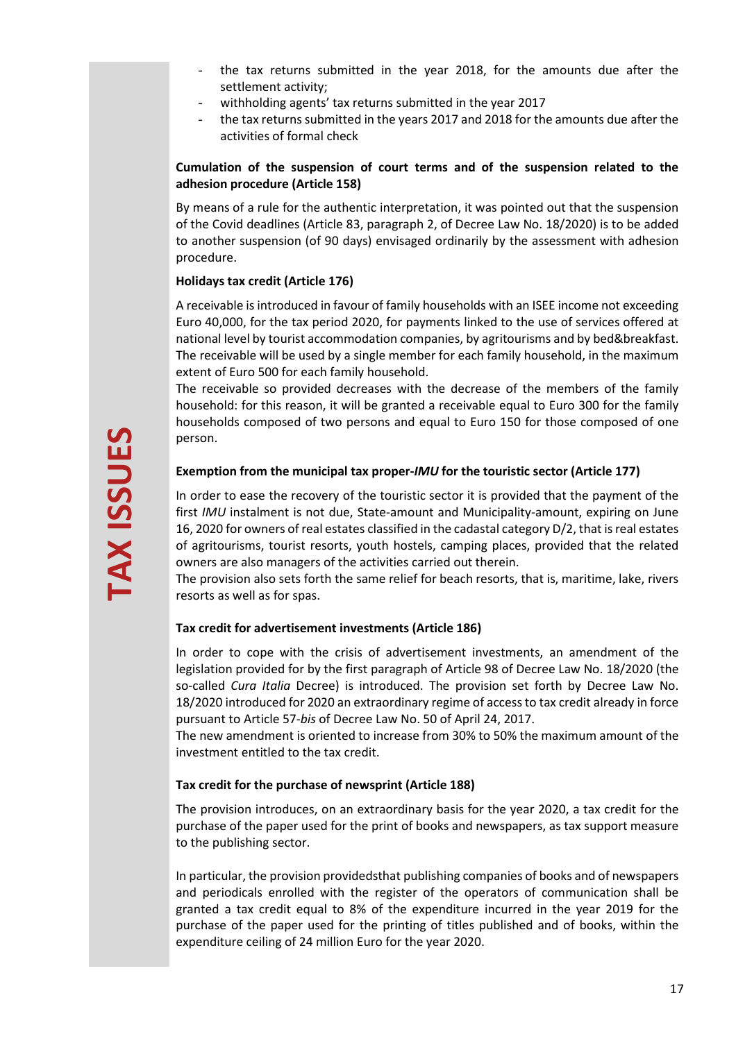- the tax returns submitted in the year 2018, for the amounts due after the settlement activity;
- withholding agents' tax returns submitted in the year 2017
- the tax returns submitted in the years 2017 and 2018 for the amounts due after the activities of formal check

## **Cumulation of the suspension of court terms and of the suspension related to the adhesion procedure (Article 158)**

By means of a rule for the authentic interpretation, it was pointed out that the suspension of the Covid deadlines (Article 83, paragraph 2, of Decree Law No. 18/2020) is to be added to another suspension (of 90 days) envisaged ordinarily by the assessment with adhesion procedure.

## **Holidays tax credit (Article 176)**

A receivable is introduced in favour of family households with an ISEE income not exceeding Euro 40,000, for the tax period 2020, for payments linked to the use of services offered at national level by tourist accommodation companies, by agritourisms and by bed&breakfast. The receivable will be used by a single member for each family household, in the maximum extent of Euro 500 for each family household.

The receivable so provided decreases with the decrease of the members of the family household: for this reason, it will be granted a receivable equal to Euro 300 for the family households composed of two persons and equal to Euro 150 for those composed of one person.

# **Exemption from the municipal tax proper-***IMU* **for the touristic sector (Article 177)**

In order to ease the recovery of the touristic sector it is provided that the payment of the first *IMU* instalment is not due, State-amount and Municipality-amount, expiring on June 16, 2020 for owners of real estates classified in the cadastal category D/2, that is real estates of agritourisms, tourist resorts, youth hostels, camping places, provided that the related owners are also managers of the activities carried out therein.

The provision also sets forth the same relief for beach resorts, that is, maritime, lake, rivers resorts as well as for spas.

# **Tax credit for advertisement investments (Article 186)**

In order to cope with the crisis of advertisement investments, an amendment of the legislation provided for by the first paragraph of Article 98 of Decree Law No. 18/2020 (the so-called *Cura Italia* Decree) is introduced. The provision set forth by Decree Law No. 18/2020 introduced for 2020 an extraordinary regime of access to tax credit already in force pursuant to Article 57-*bis* of Decree Law No. 50 of April 24, 2017.

The new amendment is oriented to increase from 30% to 50% the maximum amount of the investment entitled to the tax credit.

## **Tax credit for the purchase of newsprint (Article 188)**

The provision introduces, on an extraordinary basis for the year 2020, a tax credit for the purchase of the paper used for the print of books and newspapers, as tax support measure to the publishing sector.

In particular, the provision providedsthat publishing companies of books and of newspapers and periodicals enrolled with the register of the operators of communication shall be granted a tax credit equal to 8% of the expenditure incurred in the year 2019 for the purchase of the paper used for the printing of titles published and of books, within the expenditure ceiling of 24 million Euro for the year 2020.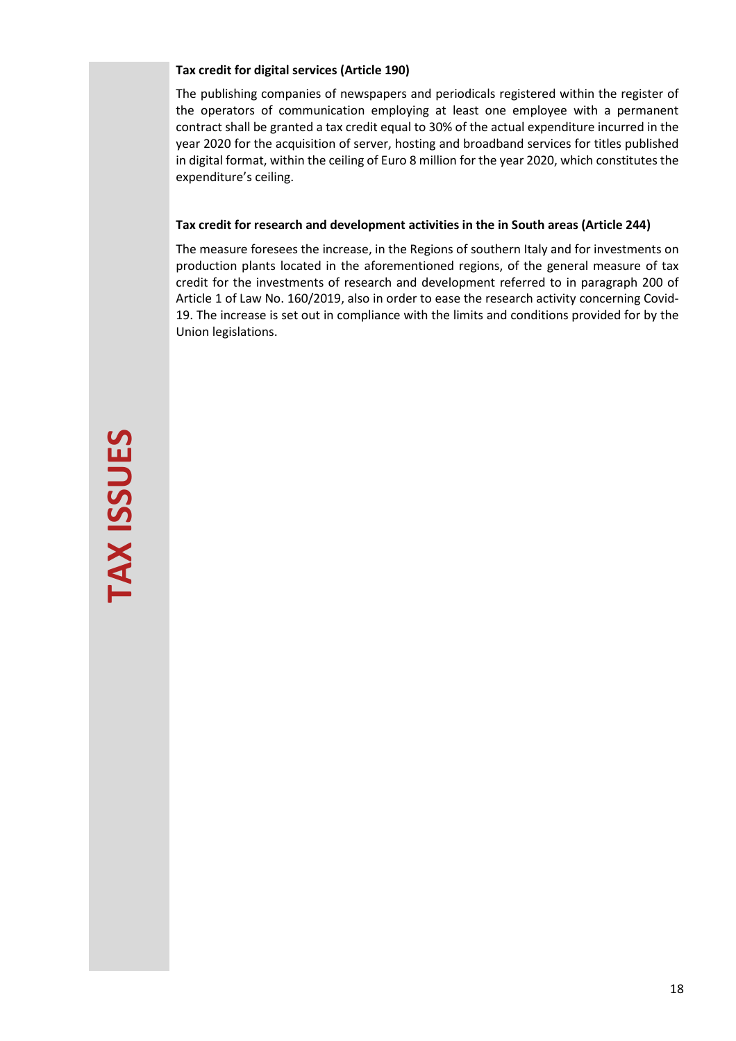## **Tax credit for digital services (Article 190)**

The publishing companies of newspapers and periodicals registered within the register of the operators of communication employing at least one employee with a permanent contract shall be granted a tax credit equal to 30% of the actual expenditure incurred in the year 2020 for the acquisition of server, hosting and broadband services for titles published in digital format, within the ceiling of Euro 8 million for the year 2020, which constitutes the expenditure's ceiling.

## **Tax credit for research and development activities in the in South areas (Article 244)**

The measure foresees the increase, in the Regions of southern Italy and for investments on production plants located in the aforementioned regions, of the general measure of tax credit for the investments of research and development referred to in paragraph 200 of Article 1 of Law No. 160/2019, also in order to ease the research activity concerning Covid-19. The increase is set out in compliance with the limits and conditions provided for by the Union legislations.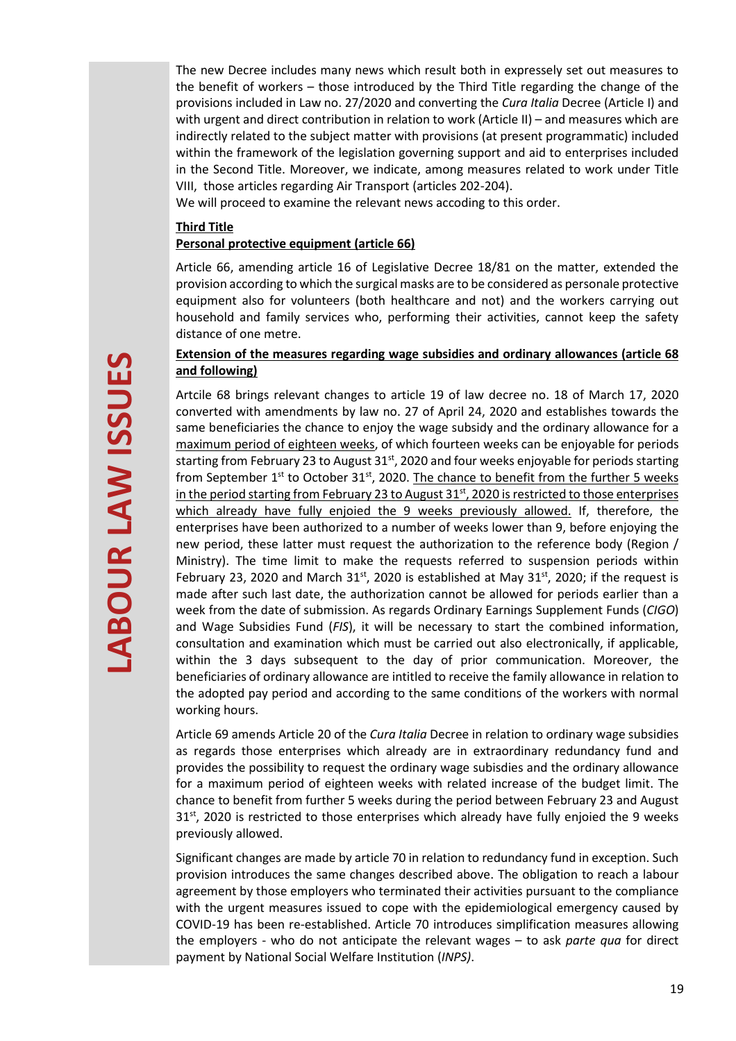The new Decree includes many news which result both in expressely set out measures to the benefit of workers – those introduced by the Third Title regarding the change of the provisions included in Law no. 27/2020 and converting the *Cura Italia* Decree (Article I) and with urgent and direct contribution in relation to work (Article II) – and measures which are indirectly related to the subject matter with provisions (at present programmatic) included within the framework of the legislation governing support and aid to enterprises included in the Second Title. Moreover, we indicate, among measures related to work under Title VIII, those articles regarding Air Transport (articles 202-204).

We will proceed to examine the relevant news accoding to this order.

#### **Third Title**

## **Personal protective equipment (article 66)**

Article 66, amending article 16 of Legislative Decree 18/81 on the matter, extended the provision according to which the surgical masks are to be considered as personale protective equipment also for volunteers (both healthcare and not) and the workers carrying out household and family services who, performing their activities, cannot keep the safety distance of one metre.

## **Extension of the measures regarding wage subsidies and ordinary allowances (article 68 and following)**

Artcile 68 brings relevant changes to article 19 of law decree no. 18 of March 17, 2020 converted with amendments by law no. 27 of April 24, 2020 and establishes towards the same beneficiaries the chance to enjoy the wage subsidy and the ordinary allowance for a maximum period of eighteen weeks, of which fourteen weeks can be enjoyable for periods starting from February 23 to August  $31<sup>st</sup>$ , 2020 and four weeks enjoyable for periods starting from September  $1^{st}$  to October 31 $^{st}$ , 2020. The chance to benefit from the further 5 weeks in the period starting from February 23 to August 31<sup>st</sup>, 2020 is restricted to those enterprises which already have fully enjoied the 9 weeks previously allowed. If, therefore, the enterprises have been authorized to a number of weeks lower than 9, before enjoying the new period, these latter must request the authorization to the reference body (Region / Ministry). The time limit to make the requests referred to suspension periods within February 23, 2020 and March  $31^{st}$ , 2020 is established at May  $31^{st}$ , 2020; if the request is made after such last date, the authorization cannot be allowed for periods earlier than a week from the date of submission. As regards Ordinary Earnings Supplement Funds (*CIGO*) and Wage Subsidies Fund (*FIS*), it will be necessary to start the combined information, consultation and examination which must be carried out also electronically, if applicable, within the 3 days subsequent to the day of prior communication. Moreover, the beneficiaries of ordinary allowance are intitled to receive the family allowance in relation to the adopted pay period and according to the same conditions of the workers with normal working hours.

Article 69 amends Article 20 of the *Cura Italia* Decree in relation to ordinary wage subsidies as regards those enterprises which already are in extraordinary redundancy fund and provides the possibility to request the ordinary wage subisdies and the ordinary allowance for a maximum period of eighteen weeks with related increase of the budget limit. The chance to benefit from further 5 weeks during the period between February 23 and August 31<sup>st</sup>, 2020 is restricted to those enterprises which already have fully enjoied the 9 weeks previously allowed.

Significant changes are made by article 70 in relation to redundancy fund in exception. Such provision introduces the same changes described above. The obligation to reach a labour agreement by those employers who terminated their activities pursuant to the compliance with the urgent measures issued to cope with the epidemiological emergency caused by COVID-19 has been re-established. Article 70 introduces simplification measures allowing the employers - who do not anticipate the relevant wages – to ask *parte qua* for direct payment by National Social Welfare Institution (*INPS)*.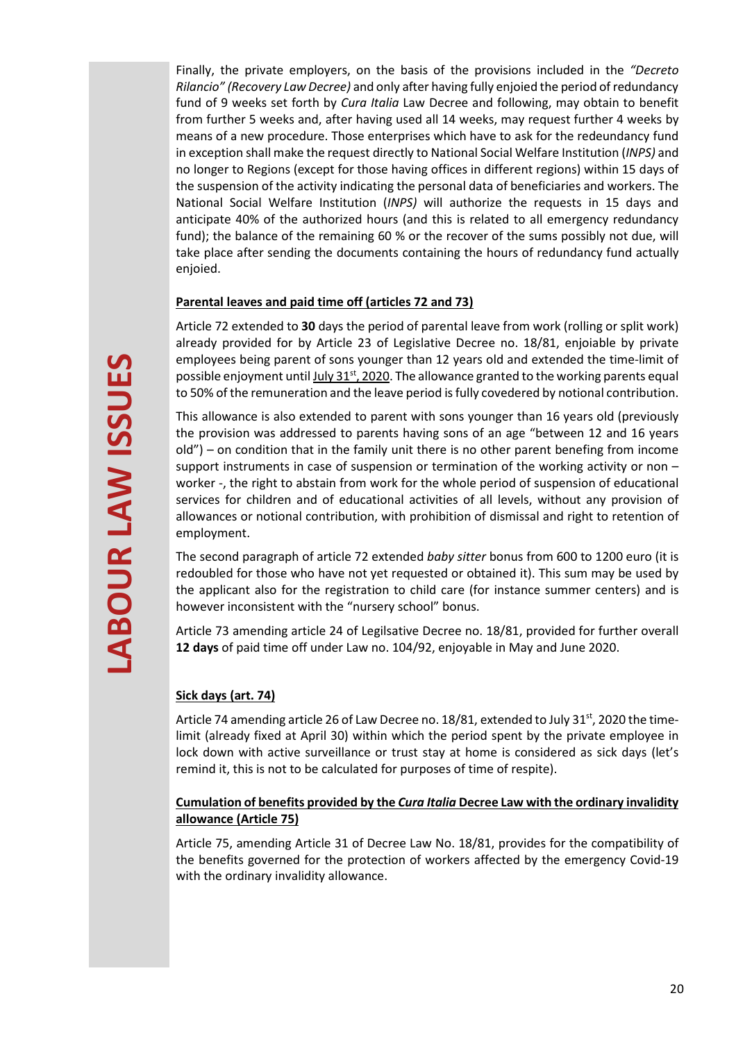Finally, the private employers, on the basis of the provisions included in the *"Decreto Rilancio" (Recovery Law Decree)* and only after having fully enjoied the period of redundancy fund of 9 weeks set forth by *Cura Italia* Law Decree and following, may obtain to benefit from further 5 weeks and, after having used all 14 weeks, may request further 4 weeks by means of a new procedure. Those enterprises which have to ask for the redeundancy fund in exception shall make the request directly to National Social Welfare Institution (*INPS)* and no longer to Regions (except for those having offices in different regions) within 15 days of the suspension of the activity indicating the personal data of beneficiaries and workers. The National Social Welfare Institution (*INPS)* will authorize the requests in 15 days and anticipate 40% of the authorized hours (and this is related to all emergency redundancy fund); the balance of the remaining 60 % or the recover of the sums possibly not due, will take place after sending the documents containing the hours of redundancy fund actually enjoied.

## **Parental leaves and paid time off (articles 72 and 73)**

Article 72 extended to **30** days the period of parental leave from work (rolling or split work) already provided for by Article 23 of Legislative Decree no. 18/81, enjoiable by private employees being parent of sons younger than 12 years old and extended the time-limit of possible enjoyment until July 31<sup>st</sup>, 2020</u>. The allowance granted to the working parents equal to 50% of the remuneration and the leave period is fully covedered by notional contribution.

This allowance is also extended to parent with sons younger than 16 years old (previously the provision was addressed to parents having sons of an age "between 12 and 16 years old") – on condition that in the family unit there is no other parent benefing from income support instruments in case of suspension or termination of the working activity or non worker -, the right to abstain from work for the whole period of suspension of educational services for children and of educational activities of all levels, without any provision of allowances or notional contribution, with prohibition of dismissal and right to retention of employment.

The second paragraph of article 72 extended *baby sitter* bonus from 600 to 1200 euro (it is redoubled for those who have not yet requested or obtained it). This sum may be used by the applicant also for the registration to child care (for instance summer centers) and is however inconsistent with the "nursery school" bonus.

Article 73 amending article 24 of Legilsative Decree no. 18/81, provided for further overall **12 days** of paid time off under Law no. 104/92, enjoyable in May and June 2020.

# **Sick days (art. 74)**

Article 74 amending article 26 of Law Decree no. 18/81, extended to July 31<sup>st</sup>, 2020 the timelimit (already fixed at April 30) within which the period spent by the private employee in lock down with active surveillance or trust stay at home is considered as sick days (let's remind it, this is not to be calculated for purposes of time of respite).

## **Cumulation of benefits provided by the** *Cura Italia* **Decree Law with the ordinary invalidity allowance (Article 75)**

Article 75, amending Article 31 of Decree Law No. 18/81, provides for the compatibility of the benefits governed for the protection of workers affected by the emergency Covid-19 with the ordinary invalidity allowance.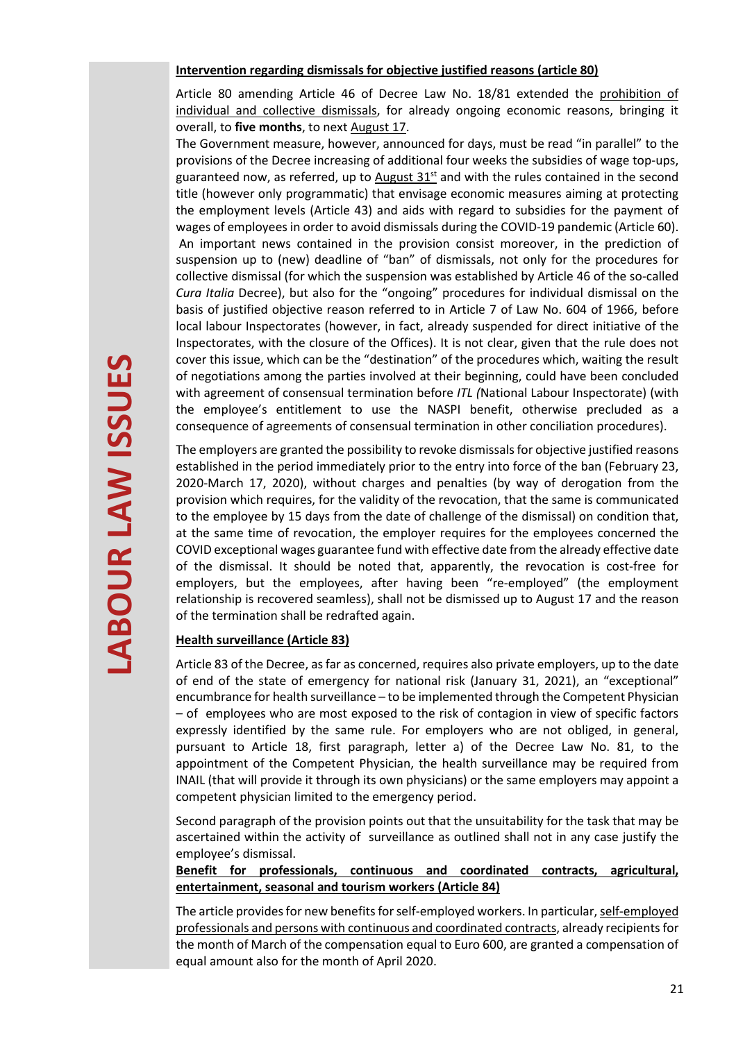#### **Intervention regarding dismissals for objective justified reasons (article 80)**

Article 80 amending Article 46 of Decree Law No. 18/81 extended the prohibition of individual and collective dismissals, for already ongoing economic reasons, bringing it overall, to **five months**, to next August 17.

The Government measure, however, announced for days, must be read "in parallel" to the provisions of the Decree increasing of additional four weeks the subsidies of wage top-ups, guaranteed now, as referred, up to August  $31<sup>st</sup>$  and with the rules contained in the second title (however only programmatic) that envisage economic measures aiming at protecting the employment levels (Article 43) and aids with regard to subsidies for the payment of wages of employees in order to avoid dismissals during the COVID-19 pandemic (Article 60). An important news contained in the provision consist moreover, in the prediction of suspension up to (new) deadline of "ban" of dismissals, not only for the procedures for collective dismissal (for which the suspension was established by Article 46 of the so-called *Cura Italia* Decree), but also for the "ongoing" procedures for individual dismissal on the basis of justified objective reason referred to in Article 7 of Law No. 604 of 1966, before local labour Inspectorates (however, in fact, already suspended for direct initiative of the Inspectorates, with the closure of the Offices). It is not clear, given that the rule does not cover this issue, which can be the "destination" of the procedures which, waiting the result of negotiations among the parties involved at their beginning, could have been concluded with agreement of consensual termination before *ITL (*National Labour Inspectorate) (with the employee's entitlement to use the NASPI benefit, otherwise precluded as a consequence of agreements of consensual termination in other conciliation procedures).

The employers are granted the possibility to revoke dismissals for objective justified reasons established in the period immediately prior to the entry into force of the ban (February 23, 2020-March 17, 2020), without charges and penalties (by way of derogation from the provision which requires, for the validity of the revocation, that the same is communicated to the employee by 15 days from the date of challenge of the dismissal) on condition that, at the same time of revocation, the employer requires for the employees concerned the COVID exceptional wages guarantee fund with effective date from the already effective date of the dismissal. It should be noted that, apparently, the revocation is cost-free for employers, but the employees, after having been "re-employed" (the employment relationship is recovered seamless), shall not be dismissed up to August 17 and the reason of the termination shall be redrafted again.

#### **Health surveillance (Article 83)**

Article 83 of the Decree, as far as concerned, requires also private employers, up to the date of end of the state of emergency for national risk (January 31, 2021), an "exceptional" encumbrance for health surveillance – to be implemented through the Competent Physician – of employees who are most exposed to the risk of contagion in view of specific factors expressly identified by the same rule. For employers who are not obliged, in general, pursuant to Article 18, first paragraph, letter a) of the Decree Law No. 81, to the appointment of the Competent Physician, the health surveillance may be required from INAIL (that will provide it through its own physicians) or the same employers may appoint a competent physician limited to the emergency period.

Second paragraph of the provision points out that the unsuitability for the task that may be ascertained within the activity of surveillance as outlined shall not in any case justify the employee's dismissal.

**Benefit for professionals, continuous and coordinated contracts, agricultural, entertainment, seasonal and tourism workers (Article 84)** 

The article provides for new benefits for self-employed workers. In particular, self-employed professionals and persons with continuous and coordinated contracts, already recipients for the month of March of the compensation equal to Euro 600, are granted a compensation of equal amount also for the month of April 2020.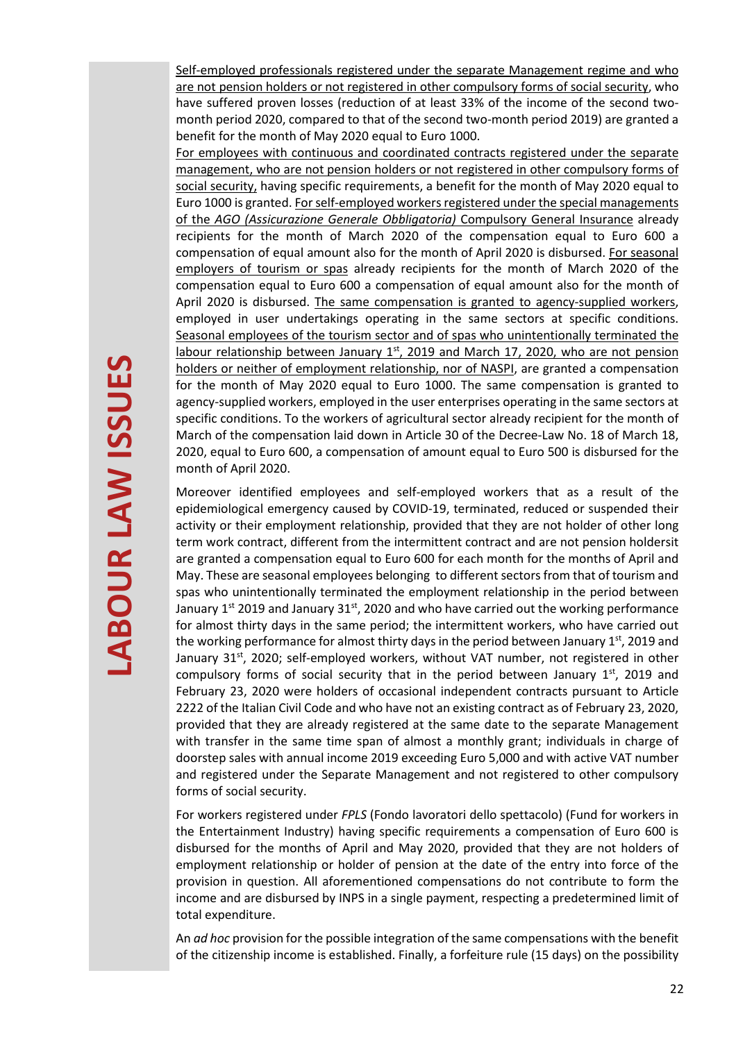Self-employed professionals registered under the separate Management regime and who are not pension holders or not registered in other compulsory forms of social security, who have suffered proven losses (reduction of at least 33% of the income of the second twomonth period 2020, compared to that of the second two-month period 2019) are granted a benefit for the month of May 2020 equal to Euro 1000.

For employees with continuous and coordinated contracts registered under the separate management, who are not pension holders or not registered in other compulsory forms of social security, having specific requirements, a benefit for the month of May 2020 equal to Euro 1000 is granted. For self-employed workers registered under the special managements of the *AGO (Assicurazione Generale Obbligatoria)* Compulsory General Insurance already recipients for the month of March 2020 of the compensation equal to Euro 600 a compensation of equal amount also for the month of April 2020 is disbursed. For seasonal employers of tourism or spas already recipients for the month of March 2020 of the compensation equal to Euro 600 a compensation of equal amount also for the month of April 2020 is disbursed. The same compensation is granted to agency-supplied workers, employed in user undertakings operating in the same sectors at specific conditions. Seasonal employees of the tourism sector and of spas who unintentionally terminated the labour relationship between January 1<sup>st</sup>, 2019 and March 17, 2020, who are not pension holders or neither of employment relationship, nor of NASPI, are granted a compensation for the month of May 2020 equal to Euro 1000. The same compensation is granted to agency-supplied workers, employed in the user enterprises operating in the same sectors at specific conditions. To the workers of agricultural sector already recipient for the month of March of the compensation laid down in Article 30 of the Decree-Law No. 18 of March 18, 2020, equal to Euro 600, a compensation of amount equal to Euro 500 is disbursed for the month of April 2020.

Moreover identified employees and self-employed workers that as a result of the epidemiological emergency caused by COVID-19, terminated, reduced or suspended their activity or their employment relationship, provided that they are not holder of other long term work contract, different from the intermittent contract and are not pension holdersit are granted a compensation equal to Euro 600 for each month for the months of April and May. These are seasonal employees belonging to different sectors from that of tourism and spas who unintentionally terminated the employment relationship in the period between January  $1<sup>st</sup>$  2019 and January 31 $<sup>st</sup>$ , 2020 and who have carried out the working performance</sup> for almost thirty days in the same period; the intermittent workers, who have carried out the working performance for almost thirty days in the period between January  $1^{st}$ , 2019 and January  $31<sup>st</sup>$ , 2020; self-employed workers, without VAT number, not registered in other compulsory forms of social security that in the period between January  $1<sup>st</sup>$ , 2019 and February 23, 2020 were holders of occasional independent contracts pursuant to Article 2222 of the Italian Civil Code and who have not an existing contract as of February 23, 2020, provided that they are already registered at the same date to the separate Management with transfer in the same time span of almost a monthly grant; individuals in charge of doorstep sales with annual income 2019 exceeding Euro 5,000 and with active VAT number and registered under the Separate Management and not registered to other compulsory forms of social security.

For workers registered under *FPLS* (Fondo lavoratori dello spettacolo) (Fund for workers in the Entertainment Industry) having specific requirements a compensation of Euro 600 is disbursed for the months of April and May 2020, provided that they are not holders of employment relationship or holder of pension at the date of the entry into force of the provision in question. All aforementioned compensations do not contribute to form the income and are disbursed by INPS in a single payment, respecting a predetermined limit of total expenditure.

An *ad hoc* provision for the possible integration of the same compensations with the benefit of the citizenship income is established. Finally, a forfeiture rule (15 days) on the possibility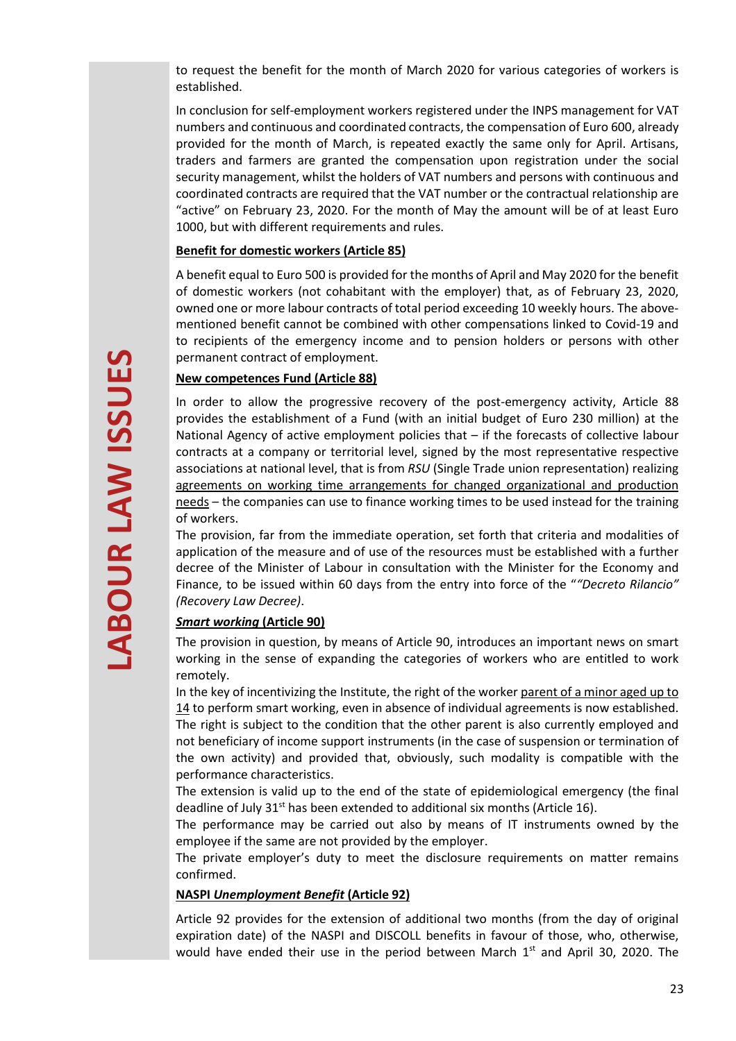to request the benefit for the month of March 2020 for various categories of workers is established.

In conclusion for self-employment workers registered under the INPS management for VAT numbers and continuous and coordinated contracts, the compensation of Euro 600, already provided for the month of March, is repeated exactly the same only for April. Artisans, traders and farmers are granted the compensation upon registration under the social security management, whilst the holders of VAT numbers and persons with continuous and coordinated contracts are required that the VAT number or the contractual relationship are "active" on February 23, 2020. For the month of May the amount will be of at least Euro 1000, but with different requirements and rules.

#### **Benefit for domestic workers (Article 85)**

A benefit equal to Euro 500 is provided for the months of April and May 2020 for the benefit of domestic workers (not cohabitant with the employer) that, as of February 23, 2020, owned one or more labour contracts of total period exceeding 10 weekly hours. The abovementioned benefit cannot be combined with other compensations linked to Covid-19 and to recipients of the emergency income and to pension holders or persons with other permanent contract of employment.

#### **New competences Fund (Article 88)**

In order to allow the progressive recovery of the post-emergency activity, Article 88 provides the establishment of a Fund (with an initial budget of Euro 230 million) at the National Agency of active employment policies that – if the forecasts of collective labour contracts at a company or territorial level, signed by the most representative respective associations at national level, that is from *RSU* (Single Trade union representation) realizing agreements on working time arrangements for changed organizational and production needs – the companies can use to finance working times to be used instead for the training of workers.

The provision, far from the immediate operation, set forth that criteria and modalities of application of the measure and of use of the resources must be established with a further decree of the Minister of Labour in consultation with the Minister for the Economy and Finance, to be issued within 60 days from the entry into force of the "*"Decreto Rilancio" (Recovery Law Decree)*.

## *Smart working* **(Article 90)**

The provision in question, by means of Article 90, introduces an important news on smart working in the sense of expanding the categories of workers who are entitled to work remotely.

In the key of incentivizing the Institute, the right of the worker parent of a minor aged up to 14 to perform smart working, even in absence of individual agreements is now established. The right is subject to the condition that the other parent is also currently employed and not beneficiary of income support instruments (in the case of suspension or termination of the own activity) and provided that, obviously, such modality is compatible with the performance characteristics.

The extension is valid up to the end of the state of epidemiological emergency (the final deadline of July  $31<sup>st</sup>$  has been extended to additional six months (Article 16).

The performance may be carried out also by means of IT instruments owned by the employee if the same are not provided by the employer.

The private employer's duty to meet the disclosure requirements on matter remains confirmed.

#### **NASPI** *Unemployment Benefit* **(Article 92)**

Article 92 provides for the extension of additional two months (from the day of original expiration date) of the NASPI and DISCOLL benefits in favour of those, who, otherwise, would have ended their use in the period between March 1<sup>st</sup> and April 30, 2020. The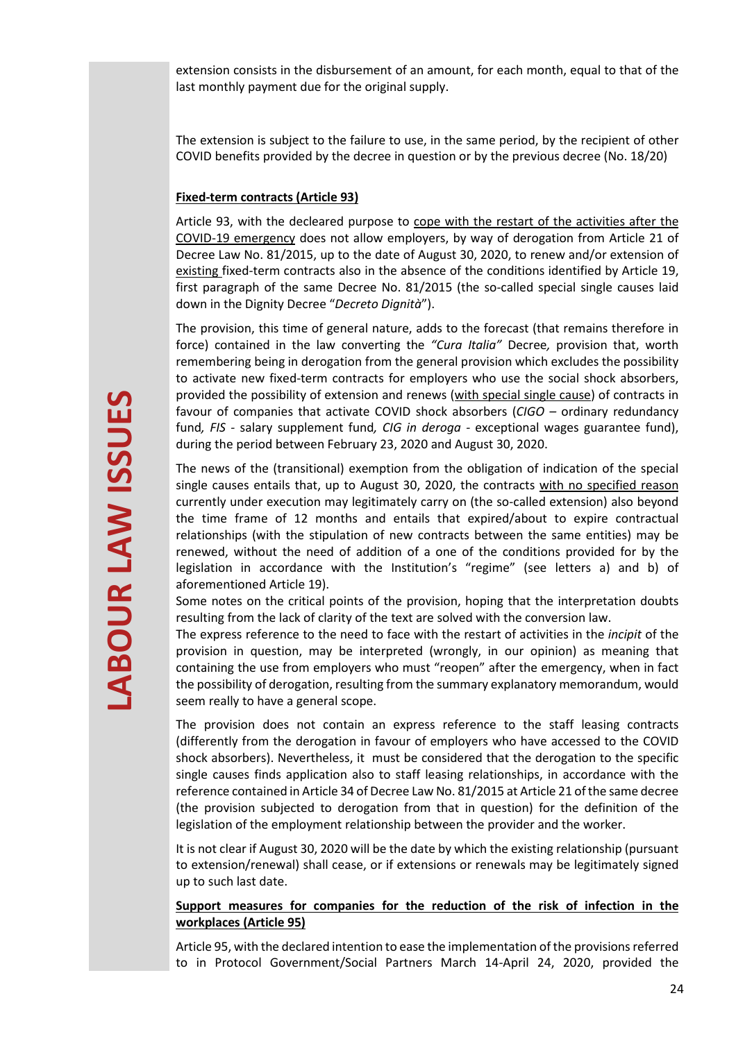extension consists in the disbursement of an amount, for each month, equal to that of the last monthly payment due for the original supply.

The extension is subject to the failure to use, in the same period, by the recipient of other COVID benefits provided by the decree in question or by the previous decree (No. 18/20)

## **Fixed-term contracts (Article 93)**

Article 93, with the decleared purpose to cope with the restart of the activities after the COVID-19 emergency does not allow employers, by way of derogation from Article 21 of Decree Law No. 81/2015, up to the date of August 30, 2020, to renew and/or extension of existing fixed-term contracts also in the absence of the conditions identified by Article 19, first paragraph of the same Decree No. 81/2015 (the so-called special single causes laid down in the Dignity Decree "*Decreto Dignità*").

The provision, this time of general nature, adds to the forecast (that remains therefore in force) contained in the law converting the *"Cura Italia"* Decree*,* provision that, worth remembering being in derogation from the general provision which excludes the possibility to activate new fixed-term contracts for employers who use the social shock absorbers, provided the possibility of extension and renews (with special single cause) of contracts in favour of companies that activate COVID shock absorbers (*CIGO –* ordinary redundancy fund*, FIS -* salary supplement fund*, CIG in deroga -* exceptional wages guarantee fund), during the period between February 23, 2020 and August 30, 2020.

The news of the (transitional) exemption from the obligation of indication of the special single causes entails that, up to August 30, 2020, the contracts with no specified reason currently under execution may legitimately carry on (the so-called extension) also beyond the time frame of 12 months and entails that expired/about to expire contractual relationships (with the stipulation of new contracts between the same entities) may be renewed, without the need of addition of a one of the conditions provided for by the legislation in accordance with the Institution's "regime" (see letters a) and b) of aforementioned Article 19).

Some notes on the critical points of the provision, hoping that the interpretation doubts resulting from the lack of clarity of the text are solved with the conversion law.

The express reference to the need to face with the restart of activities in the *incipit* of the provision in question, may be interpreted (wrongly, in our opinion) as meaning that containing the use from employers who must "reopen" after the emergency, when in fact the possibility of derogation, resulting from the summary explanatory memorandum, would seem really to have a general scope.

The provision does not contain an express reference to the staff leasing contracts (differently from the derogation in favour of employers who have accessed to the COVID shock absorbers). Nevertheless, it must be considered that the derogation to the specific single causes finds application also to staff leasing relationships, in accordance with the reference contained in Article 34 of Decree Law No. 81/2015 at Article 21 of the same decree (the provision subjected to derogation from that in question) for the definition of the legislation of the employment relationship between the provider and the worker.

It is not clear if August 30, 2020 will be the date by which the existing relationship (pursuant to extension/renewal) shall cease, or if extensions or renewals may be legitimately signed up to such last date.

## **Support measures for companies for the reduction of the risk of infection in the workplaces (Article 95)**

Article 95, with the declared intention to ease the implementation of the provisions referred to in Protocol Government/Social Partners March 14-April 24, 2020, provided the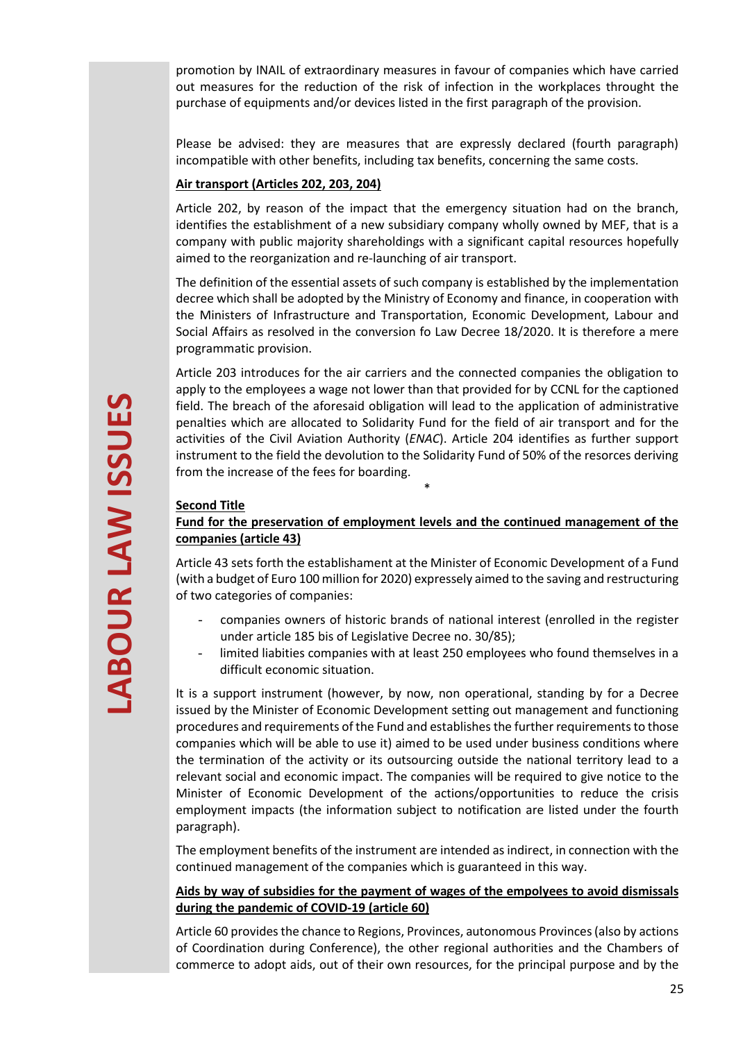promotion by INAIL of extraordinary measures in favour of companies which have carried out measures for the reduction of the risk of infection in the workplaces throught the purchase of equipments and/or devices listed in the first paragraph of the provision.

Please be advised: they are measures that are expressly declared (fourth paragraph) incompatible with other benefits, including tax benefits, concerning the same costs.

## **Air transport (Articles 202, 203, 204)**

Article 202, by reason of the impact that the emergency situation had on the branch, identifies the establishment of a new subsidiary company wholly owned by MEF, that is a company with public majority shareholdings with a significant capital resources hopefully aimed to the reorganization and re-launching of air transport.

The definition of the essential assets of such company is established by the implementation decree which shall be adopted by the Ministry of Economy and finance, in cooperation with the Ministers of Infrastructure and Transportation, Economic Development, Labour and Social Affairs as resolved in the conversion fo Law Decree 18/2020. It is therefore a mere programmatic provision.

Article 203 introduces for the air carriers and the connected companies the obligation to apply to the employees a wage not lower than that provided for by CCNL for the captioned field. The breach of the aforesaid obligation will lead to the application of administrative penalties which are allocated to Solidarity Fund for the field of air transport and for the activities of the Civil Aviation Authority (*ENAC*). Article 204 identifies as further support instrument to the field the devolution to the Solidarity Fund of 50% of the resorces deriving from the increase of the fees for boarding.

## **Second Title**

## **Fund for the preservation of employment levels and the continued management of the companies (article 43)**

\*

Article 43 sets forth the establishament at the Minister of Economic Development of a Fund (with a budget of Euro 100 million for 2020) expressely aimed to the saving and restructuring of two categories of companies:

- companies owners of historic brands of national interest (enrolled in the register under article 185 bis of Legislative Decree no. 30/85);
- limited liabities companies with at least 250 employees who found themselves in a difficult economic situation.

It is a support instrument (however, by now, non operational, standing by for a Decree issued by the Minister of Economic Development setting out management and functioning procedures and requirements of the Fund and establishes the further requirements to those companies which will be able to use it) aimed to be used under business conditions where the termination of the activity or its outsourcing outside the national territory lead to a relevant social and economic impact. The companies will be required to give notice to the Minister of Economic Development of the actions/opportunities to reduce the crisis employment impacts (the information subject to notification are listed under the fourth paragraph).

The employment benefits of the instrument are intended as indirect, in connection with the continued management of the companies which is guaranteed in this way.

## **Aids by way of subsidies for the payment of wages of the empolyees to avoid dismissals during the pandemic of COVID-19 (article 60)**

Article 60 provides the chance to Regions, Provinces, autonomous Provinces (also by actions of Coordination during Conference), the other regional authorities and the Chambers of commerce to adopt aids, out of their own resources, for the principal purpose and by the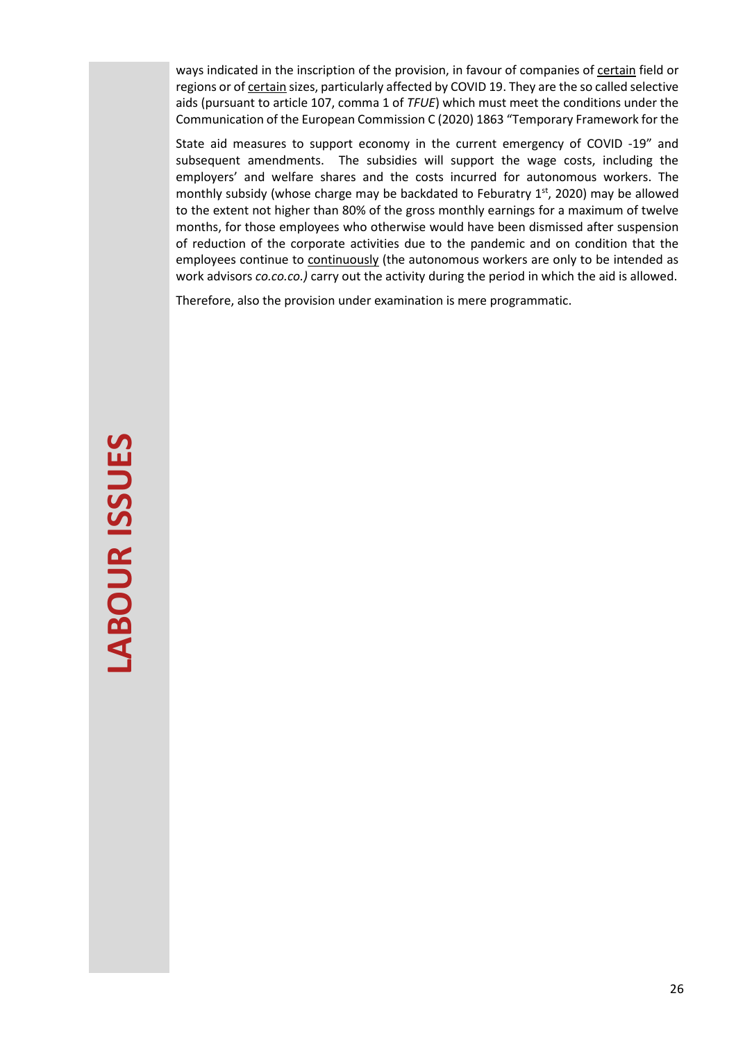ways indicated in the inscription of the provision, in favour of companies of certain field or regions or of certain sizes, particularly affected by COVID 19. They are the so called selective aids (pursuant to article 107, comma 1 of *TFUE*) which must meet the conditions under the Communication of the European Commission C (2020) 1863 "Temporary Framework for the

State aid measures to support economy in the current emergency of COVID -19" and subsequent amendments. The subsidies will support the wage costs, including the employers' and welfare shares and the costs incurred for autonomous workers. The monthly subsidy (whose charge may be backdated to Feburatry  $1<sup>st</sup>$ , 2020) may be allowed to the extent not higher than 80% of the gross monthly earnings for a maximum of twelve months, for those employees who otherwise would have been dismissed after suspension of reduction of the corporate activities due to the pandemic and on condition that the employees continue to continuously (the autonomous workers are only to be intended as work advisors *co.co.co.)* carry out the activity during the period in which the aid is allowed.

Therefore, also the provision under examination is mere programmatic.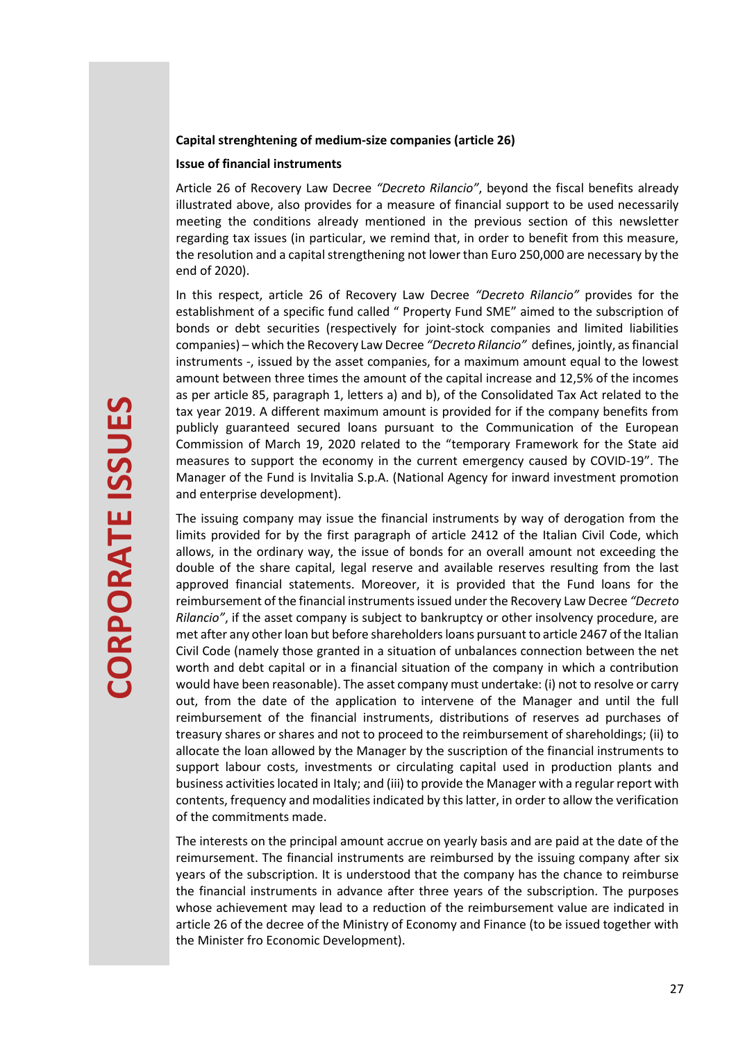#### **Capital strenghtening of medium-size companies (article 26)**

#### **Issue of financial instruments**

Article 26 of Recovery Law Decree *"Decreto Rilancio"*, beyond the fiscal benefits already illustrated above, also provides for a measure of financial support to be used necessarily meeting the conditions already mentioned in the previous section of this newsletter regarding tax issues (in particular, we remind that, in order to benefit from this measure, the resolution and a capital strengthening not lower than Euro 250,000 are necessary by the end of 2020).

In this respect, article 26 of Recovery Law Decree *"Decreto Rilancio"* provides for the establishment of a specific fund called " Property Fund SME" aimed to the subscription of bonds or debt securities (respectively for joint-stock companies and limited liabilities companies) – which the Recovery Law Decree *"Decreto Rilancio"* defines, jointly, as financial instruments -, issued by the asset companies, for a maximum amount equal to the lowest amount between three times the amount of the capital increase and 12,5% of the incomes as per article 85, paragraph 1, letters a) and b), of the Consolidated Tax Act related to the tax year 2019. A different maximum amount is provided for if the company benefits from publicly guaranteed secured loans pursuant to the Communication of the European Commission of March 19, 2020 related to the "temporary Framework for the State aid measures to support the economy in the current emergency caused by COVID-19". The Manager of the Fund is Invitalia S.p.A. (National Agency for inward investment promotion and enterprise development).

The issuing company may issue the financial instruments by way of derogation from the limits provided for by the first paragraph of article 2412 of the Italian Civil Code, which allows, in the ordinary way, the issue of bonds for an overall amount not exceeding the double of the share capital, legal reserve and available reserves resulting from the last approved financial statements. Moreover, it is provided that the Fund loans for the reimbursement of the financial instruments issued under the Recovery Law Decree *"Decreto Rilancio"*, if the asset company is subject to bankruptcy or other insolvency procedure, are met after any other loan but before shareholders loans pursuant to article 2467 of the Italian Civil Code (namely those granted in a situation of unbalances connection between the net worth and debt capital or in a financial situation of the company in which a contribution would have been reasonable). The asset company must undertake: (i) not to resolve or carry out, from the date of the application to intervene of the Manager and until the full reimbursement of the financial instruments, distributions of reserves ad purchases of treasury shares or shares and not to proceed to the reimbursement of shareholdings; (ii) to allocate the loan allowed by the Manager by the suscription of the financial instruments to support labour costs, investments or circulating capital used in production plants and business activities located in Italy; and (iii) to provide the Manager with a regular report with contents, frequency and modalities indicated by this latter, in order to allow the verification of the commitments made.

The interests on the principal amount accrue on yearly basis and are paid at the date of the reimursement. The financial instruments are reimbursed by the issuing company after six years of the subscription. It is understood that the company has the chance to reimburse the financial instruments in advance after three years of the subscription. The purposes whose achievement may lead to a reduction of the reimbursement value are indicated in article 26 of the decree of the Ministry of Economy and Finance (to be issued together with the Minister fro Economic Development).